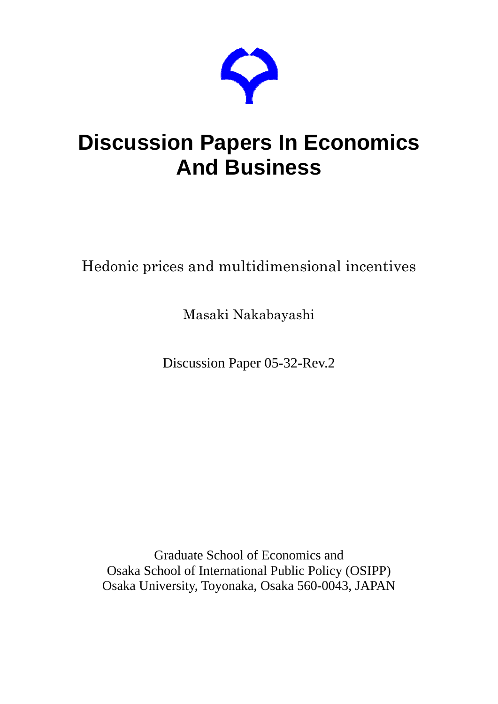

# **Discussion Papers In Economics And Business**

## Hedonic prices and multidimensional incentives

Masaki Nakabayashi

Discussion Paper 05-32-Rev.2

Graduate School of Economics and Osaka School of International Public Policy (OSIPP) Osaka University, Toyonaka, Osaka 560-0043, JAPAN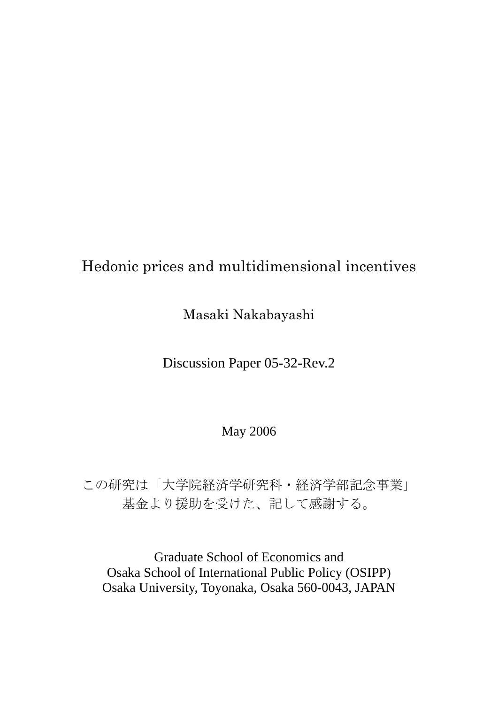## Hedonic prices and multidimensional incentives

Masaki Nakabayashi

Discussion Paper 05-32-Rev.2

May 2006

この研究は「大学院経済学研究科・経済学部記念事業」 基金より援助を受けた、記して感謝する。

Graduate School of Economics and Osaka School of International Public Policy (OSIPP) Osaka University, Toyonaka, Osaka 560-0043, JAPAN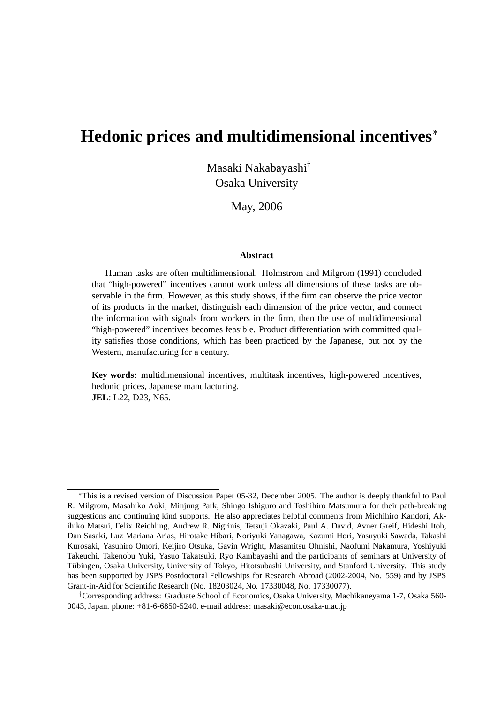## **Hedonic prices and multidimensional incentives**<sup>∗</sup>

Masaki Nakabayashi† Osaka University

May, 2006

#### **Abstract**

Human tasks are often multidimensional. Holmstrom and Milgrom (1991) concluded that "high-powered" incentives cannot work unless all dimensions of these tasks are observable in the firm. However, as this study shows, if the firm can observe the price vector of its products in the market, distinguish each dimension of the price vector, and connect the information with signals from workers in the firm, then the use of multidimensional "high-powered" incentives becomes feasible. Product differentiation with committed quality satisfies those conditions, which has been practiced by the Japanese, but not by the Western, manufacturing for a century.

**Key words**: multidimensional incentives, multitask incentives, high-powered incentives, hedonic prices, Japanese manufacturing. **JEL**: L22, D23, N65.

<sup>∗</sup>This is a revised version of Discussion Paper 05-32, December 2005. The author is deeply thankful to Paul R. Milgrom, Masahiko Aoki, Minjung Park, Shingo Ishiguro and Toshihiro Matsumura for their path-breaking suggestions and continuing kind supports. He also appreciates helpful comments from Michihiro Kandori, Akihiko Matsui, Felix Reichling, Andrew R. Nigrinis, Tetsuji Okazaki, Paul A. David, Avner Greif, Hideshi Itoh, Dan Sasaki, Luz Mariana Arias, Hirotake Hibari, Noriyuki Yanagawa, Kazumi Hori, Yasuyuki Sawada, Takashi Kurosaki, Yasuhiro Omori, Keijiro Otsuka, Gavin Wright, Masamitsu Ohnishi, Naofumi Nakamura, Yoshiyuki Takeuchi, Takenobu Yuki, Yasuo Takatsuki, Ryo Kambayashi and the participants of seminars at University of Tübingen, Osaka University, University of Tokyo, Hitotsubashi University, and Stanford University. This study has been supported by JSPS Postdoctoral Fellowships for Research Abroad (2002-2004, No. 559) and by JSPS Grant-in-Aid for Scientific Research (No. 18203024, No. 17330048, No. 17330077).

<sup>†</sup>Corresponding address: Graduate School of Economics, Osaka University, Machikaneyama 1-7, Osaka 560- 0043, Japan. phone: +81-6-6850-5240. e-mail address: masaki@econ.osaka-u.ac.jp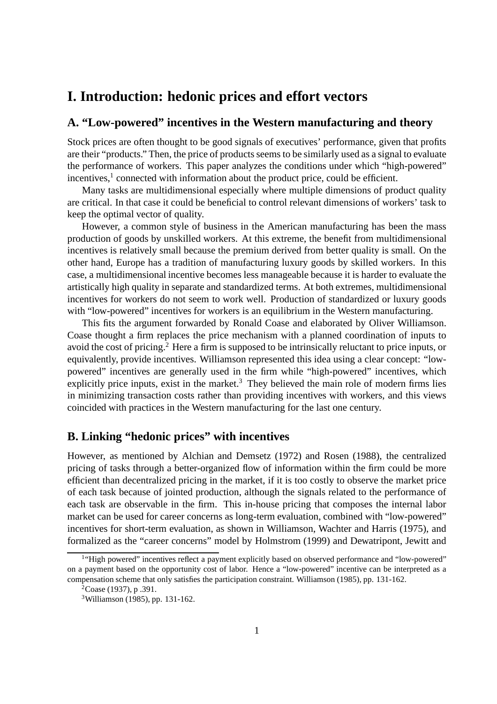## **I. Introduction: hedonic prices and effort vectors**

## **A. "Low-powered" incentives in the Western manufacturing and theory**

Stock prices are often thought to be good signals of executives' performance, given that profits are their "products." Then, the price of products seems to be similarly used as a signal to evaluate the performance of workers. This paper analyzes the conditions under which "high-powered" incentives, $<sup>1</sup>$  connected with information about the product price, could be efficient.</sup>

Many tasks are multidimensional especially where multiple dimensions of product quality are critical. In that case it could be beneficial to control relevant dimensions of workers' task to keep the optimal vector of quality.

However, a common style of business in the American manufacturing has been the mass production of goods by unskilled workers. At this extreme, the benefit from multidimensional incentives is relatively small because the premium derived from better quality is small. On the other hand, Europe has a tradition of manufacturing luxury goods by skilled workers. In this case, a multidimensional incentive becomes less manageable because it is harder to evaluate the artistically high quality in separate and standardized terms. At both extremes, multidimensional incentives for workers do not seem to work well. Production of standardized or luxury goods with "low-powered" incentives for workers is an equilibrium in the Western manufacturing.

This fits the argument forwarded by Ronald Coase and elaborated by Oliver Williamson. Coase thought a firm replaces the price mechanism with a planned coordination of inputs to avoid the cost of pricing.<sup>2</sup> Here a firm is supposed to be intrinsically reluctant to price inputs, or equivalently, provide incentives. Williamson represented this idea using a clear concept: "lowpowered" incentives are generally used in the firm while "high-powered" incentives, which explicitly price inputs, exist in the market.<sup>3</sup> They believed the main role of modern firms lies in minimizing transaction costs rather than providing incentives with workers, and this views coincided with practices in the Western manufacturing for the last one century.

## **B. Linking "hedonic prices" with incentives**

However, as mentioned by Alchian and Demsetz (1972) and Rosen (1988), the centralized pricing of tasks through a better-organized flow of information within the firm could be more efficient than decentralized pricing in the market, if it is too costly to observe the market price of each task because of jointed production, although the signals related to the performance of each task are observable in the firm. This in-house pricing that composes the internal labor market can be used for career concerns as long-term evaluation, combined with "low-powered" incentives for short-term evaluation, as shown in Williamson, Wachter and Harris (1975), and formalized as the "career concerns" model by Holmstrom (1999) and Dewatripont, Jewitt and

<sup>&</sup>lt;sup>1</sup>"High powered" incentives reflect a payment explicitly based on observed performance and "low-powered" on a payment based on the opportunity cost of labor. Hence a "low-powered" incentive can be interpreted as a compensation scheme that only satisfies the participation constraint. Williamson (1985), pp. 131-162.

 ${}^{2}$ Coase (1937), p. 391.

<sup>3</sup>Williamson (1985), pp. 131-162.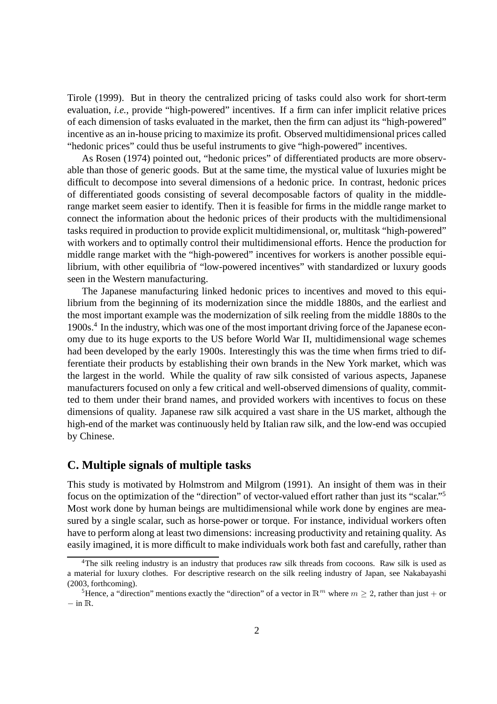Tirole (1999). But in theory the centralized pricing of tasks could also work for short-term evaluation, *i.e.*, provide "high-powered" incentives. If a firm can infer implicit relative prices of each dimension of tasks evaluated in the market, then the firm can adjust its "high-powered" incentive as an in-house pricing to maximize its profit. Observed multidimensional prices called "hedonic prices" could thus be useful instruments to give "high-powered" incentives.

As Rosen (1974) pointed out, "hedonic prices" of differentiated products are more observable than those of generic goods. But at the same time, the mystical value of luxuries might be difficult to decompose into several dimensions of a hedonic price. In contrast, hedonic prices of differentiated goods consisting of several decomposable factors of quality in the middlerange market seem easier to identify. Then it is feasible for firms in the middle range market to connect the information about the hedonic prices of their products with the multidimensional tasks required in production to provide explicit multidimensional, or, multitask "high-powered" with workers and to optimally control their multidimensional efforts. Hence the production for middle range market with the "high-powered" incentives for workers is another possible equilibrium, with other equilibria of "low-powered incentives" with standardized or luxury goods seen in the Western manufacturing.

The Japanese manufacturing linked hedonic prices to incentives and moved to this equilibrium from the beginning of its modernization since the middle 1880s, and the earliest and the most important example was the modernization of silk reeling from the middle 1880s to the 1900s.<sup>4</sup> In the industry, which was one of the most important driving force of the Japanese economy due to its huge exports to the US before World War II, multidimensional wage schemes had been developed by the early 1900s. Interestingly this was the time when firms tried to differentiate their products by establishing their own brands in the New York market, which was the largest in the world. While the quality of raw silk consisted of various aspects, Japanese manufacturers focused on only a few critical and well-observed dimensions of quality, committed to them under their brand names, and provided workers with incentives to focus on these dimensions of quality. Japanese raw silk acquired a vast share in the US market, although the high-end of the market was continuously held by Italian raw silk, and the low-end was occupied by Chinese.

## **C. Multiple signals of multiple tasks**

This study is motivated by Holmstrom and Milgrom (1991). An insight of them was in their focus on the optimization of the "direction" of vector-valued effort rather than just its "scalar."<sup>5</sup> Most work done by human beings are multidimensional while work done by engines are measured by a single scalar, such as horse-power or torque. For instance, individual workers often have to perform along at least two dimensions: increasing productivity and retaining quality. As easily imagined, it is more difficult to make individuals work both fast and carefully, rather than

<sup>&</sup>lt;sup>4</sup>The silk reeling industry is an industry that produces raw silk threads from cocoons. Raw silk is used as a material for luxury clothes. For descriptive research on the silk reeling industry of Japan, see Nakabayashi (2003, forthcoming).

<sup>&</sup>lt;sup>5</sup>Hence, a "direction" mentions exactly the "direction" of a vector in  $\mathbb{R}^m$  where  $m \geq 2$ , rather than just + or − in <sup>R</sup>.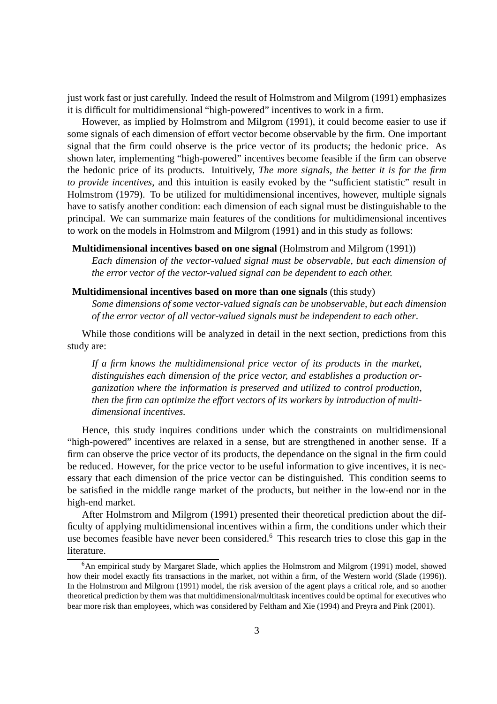just work fast or just carefully. Indeed the result of Holmstrom and Milgrom (1991) emphasizes it is difficult for multidimensional "high-powered" incentives to work in a firm.

However, as implied by Holmstrom and Milgrom (1991), it could become easier to use if some signals of each dimension of effort vector become observable by the firm. One important signal that the firm could observe is the price vector of its products; the hedonic price. As shown later, implementing "high-powered" incentives become feasible if the firm can observe the hedonic price of its products. Intuitively, *The more signals, the better it is for the firm to provide incentives*, and this intuition is easily evoked by the "sufficient statistic" result in Holmstrom (1979). To be utilized for multidimensional incentives, however, multiple signals have to satisfy another condition: each dimension of each signal must be distinguishable to the principal. We can summarize main features of the conditions for multidimensional incentives to work on the models in Holmstrom and Milgrom (1991) and in this study as follows:

#### **Multidimensional incentives based on one signal** (Holmstrom and Milgrom (1991))

*Each dimension of the vector-valued signal must be observable, but each dimension of the error vector of the vector-valued signal can be dependent to each other.*

#### **Multidimensional incentives based on more than one signals** (this study)

*Some dimensions of some vector-valued signals can be unobservable, but each dimension of the error vector of all vector-valued signals must be independent to each other*.

While those conditions will be analyzed in detail in the next section, predictions from this study are:

*If a firm knows the multidimensional price vector of its products in the market, distinguishes each dimension of the price vector, and establishes a production organization where the information is preserved and utilized to control production, then the firm can optimize the effort vectors of its workers by introduction of multidimensional incentives.*

Hence, this study inquires conditions under which the constraints on multidimensional "high-powered" incentives are relaxed in a sense, but are strengthened in another sense. If a firm can observe the price vector of its products, the dependance on the signal in the firm could be reduced. However, for the price vector to be useful information to give incentives, it is necessary that each dimension of the price vector can be distinguished. This condition seems to be satisfied in the middle range market of the products, but neither in the low-end nor in the high-end market.

After Holmstrom and Milgrom (1991) presented their theoretical prediction about the difficulty of applying multidimensional incentives within a firm, the conditions under which their use becomes feasible have never been considered.<sup>6</sup> This research tries to close this gap in the literature.

 $6$ An empirical study by Margaret Slade, which applies the Holmstrom and Milgrom (1991) model, showed how their model exactly fits transactions in the market, not within a firm, of the Western world (Slade (1996)). In the Holmstrom and Milgrom (1991) model, the risk aversion of the agent plays a critical role, and so another theoretical prediction by them was that multidimensional/multitask incentives could be optimal for executives who bear more risk than employees, which was considered by Feltham and Xie (1994) and Preyra and Pink (2001).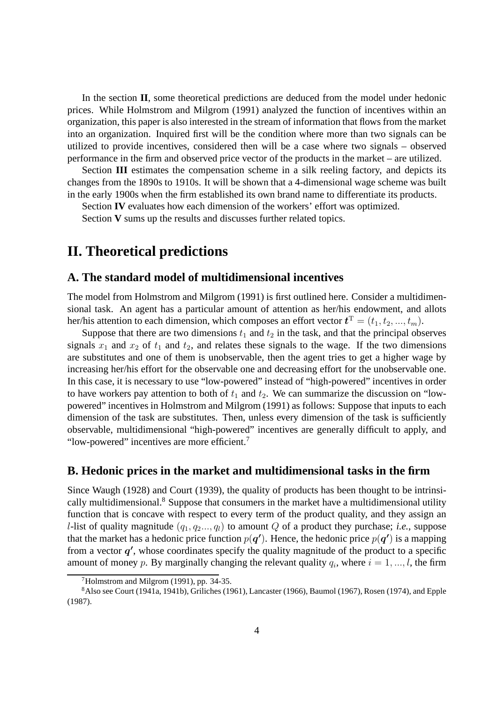In the section **II**, some theoretical predictions are deduced from the model under hedonic prices. While Holmstrom and Milgrom (1991) analyzed the function of incentives within an organization, this paper is also interested in the stream of information that flows from the market into an organization. Inquired first will be the condition where more than two signals can be utilized to provide incentives, considered then will be a case where two signals – observed performance in the firm and observed price vector of the products in the market – are utilized.

Section **III** estimates the compensation scheme in a silk reeling factory, and depicts its changes from the 1890s to 1910s. It will be shown that a 4-dimensional wage scheme was built in the early 1900s when the firm established its own brand name to differentiate its products.

Section **IV** evaluates how each dimension of the workers' effort was optimized.

Section **V** sums up the results and discusses further related topics.

## **II. Theoretical predictions**

## **A. The standard model of multidimensional incentives**

The model from Holmstrom and Milgrom (1991) is first outlined here. Consider a multidimensional task. An agent has a particular amount of attention as her/his endowment, and allots her/his attention to each dimension, which composes an effort vector  $\boldsymbol{t}^{\mathrm{T}} = (t_1, t_2, ..., t_m)$ .

Suppose that there are two dimensions  $t_1$  and  $t_2$  in the task, and that the principal observes signals  $x_1$  and  $x_2$  of  $t_1$  and  $t_2$ , and relates these signals to the wage. If the two dimensions are substitutes and one of them is unobservable, then the agent tries to get a higher wage by increasing her/his effort for the observable one and decreasing effort for the unobservable one. In this case, it is necessary to use "low-powered" instead of "high-powered" incentives in order to have workers pay attention to both of  $t_1$  and  $t_2$ . We can summarize the discussion on "lowpowered" incentives in Holmstrom and Milgrom (1991) as follows: Suppose that inputs to each dimension of the task are substitutes. Then, unless every dimension of the task is sufficiently observable, multidimensional "high-powered" incentives are generally difficult to apply, and "low-powered" incentives are more efficient.<sup>7</sup>

## **B. Hedonic prices in the market and multidimensional tasks in the firm**

Since Waugh (1928) and Court (1939), the quality of products has been thought to be intrinsically multidimensional.<sup>8</sup> Suppose that consumers in the market have a multidimensional utility function that is concave with respect to every term of the product quality, and they assign an *l*-list of quality magnitude  $(q_1, q_2, \ldots, q_l)$  to amount Q of a product they purchase; *i.e.*, suppose that the market has a hedonic price function  $p(q')$ . Hence, the hedonic price  $p(q')$  is a mapping from a vector  $q'$ , whose coordinates specify the quality magnitude of the product to a specific amount of money p. By marginally changing the relevant quality  $q_i$ , where  $i = 1, ..., l$ , the firm

 $7$ Holmstrom and Milgrom (1991), pp. 34-35.

<sup>8</sup>Also see Court (1941a, 1941b), Griliches (1961), Lancaster (1966), Baumol (1967), Rosen (1974), and Epple (1987).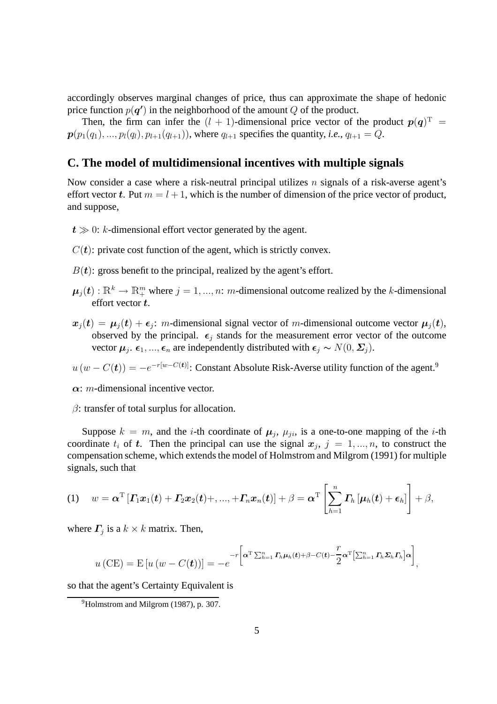accordingly observes marginal changes of price, thus can approximate the shape of hedonic price function  $p(\boldsymbol{q}')$  in the neighborhood of the amount Q of the product.

Then, the firm can infer the  $(l + 1)$ -dimensional price vector of the product  $p(q)^T =$  $p(p_1(q_1), ..., p_l(q_l), p_{l+1}(q_{l+1}))$ , where  $q_{l+1}$  specifies the quantity, *i.e.*,  $q_{l+1} = Q$ .

## **C. The model of multidimensional incentives with multiple signals**

Now consider a case where a risk-neutral principal utilizes  $n$  signals of a risk-averse agent's effort vector t. Put  $m = l + 1$ , which is the number of dimension of the price vector of product, and suppose,

- $t \gg 0$ : k-dimensional effort vector generated by the agent.
- $C(t)$ : private cost function of the agent, which is strictly convex.
- $B(t)$ : gross benefit to the principal, realized by the agent's effort.
- $\mu_j(t): \mathbb{R}^k \to \mathbb{R}^m_+$  where  $j = 1, ..., n$ : m-dimensional outcome realized by the k-dimensional effort vector  $t$ .
- $x_j(t) = \mu_j(t) + \epsilon_j$ : m-dimensional signal vector of m-dimensional outcome vector  $\mu_j(t)$ , observed by the principal.  $\epsilon_j$  stands for the measurement error vector of the outcome vector  $\mu_j$ .  $\epsilon_1, ..., \epsilon_n$  are independently distributed with  $\epsilon_j \sim N(0, \Sigma_j)$ .

 $u(w - C(t)) = -e^{-r[w - C(t)]}$ : Constant Absolute Risk-Averse utility function of the agent.<sup>9</sup>

 $\alpha$ : *m*-dimensional incentive vector.

 $\beta$ : transfer of total surplus for allocation.

Suppose  $k = m$ , and the *i*-th coordinate of  $\mu_j$ ,  $\mu_{ji}$ , is a one-to-one mapping of the *i*-th coordinate  $t_i$  of  $t$ . Then the principal can use the signal  $x_j$ ,  $j = 1, ..., n$ , to construct the compensation scheme, which extends the model of Holmstrom and Milgrom (1991) for multiple signals, such that

(1) 
$$
w = \boldsymbol{\alpha}^{\mathrm{T}} \left[ \boldsymbol{\varGamma}_{1} \boldsymbol{x}_{1}(t) + \boldsymbol{\varGamma}_{2} \boldsymbol{x}_{2}(t) + \ldots + \boldsymbol{\varGamma}_{n} \boldsymbol{x}_{n}(t) \right] + \beta = \boldsymbol{\alpha}^{\mathrm{T}} \left[ \sum_{h=1}^{n} \boldsymbol{\varGamma}_{h} \left[ \boldsymbol{\mu}_{h}(t) + \boldsymbol{\epsilon}_{h} \right] \right] + \beta,
$$

where  $\Gamma_j$  is a  $k \times k$  matrix. Then,

$$
u\left(CE\right) = E\left[u\left(w - C(t)\right)\right] = -e^{-r\left[\alpha^{\mathrm{T}}\sum_{h=1}^{n}\Gamma_{h}\mu_{h}(t)+\beta - C(t)-\frac{r}{2}\alpha^{\mathrm{T}}\left[\sum_{h=1}^{n}\Gamma_{h}\Sigma_{h}\Gamma_{h}\right]\alpha\right]},
$$

so that the agent's Certainty Equivalent is

<sup>&</sup>lt;sup>9</sup>Holmstrom and Milgrom (1987), p. 307.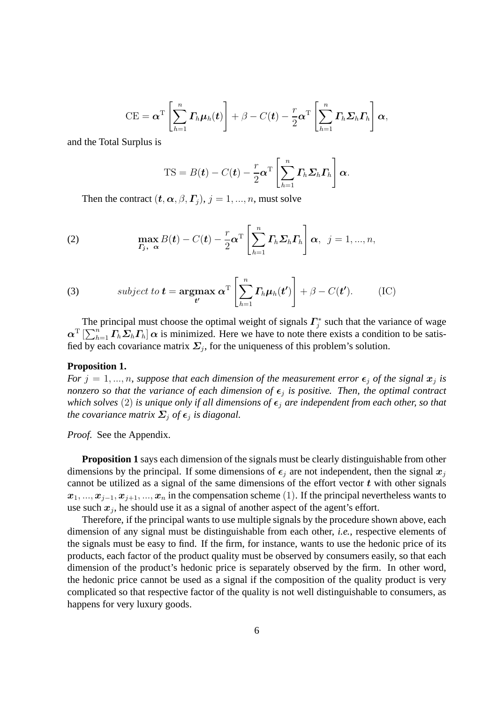$$
CE = \boldsymbol{\alpha}^{\mathrm{T}} \left[ \sum_{h=1}^{n} \boldsymbol{\varGamma}_h \boldsymbol{\mu}_h(t) \right] + \beta - C(t) - \frac{r}{2} \boldsymbol{\alpha}^{\mathrm{T}} \left[ \sum_{h=1}^{n} \boldsymbol{\varGamma}_h \boldsymbol{\Sigma}_h \boldsymbol{\varGamma}_h \right] \boldsymbol{\alpha},
$$

and the Total Surplus is

$$
TS = B(\boldsymbol{t}) - C(\boldsymbol{t}) - \frac{r}{2}\boldsymbol{\alpha}^{\mathrm{T}}\left[\sum_{h=1}^{n} \boldsymbol{\varGamma}_h \boldsymbol{\varSigma}_h \boldsymbol{\varGamma}_h\right] \boldsymbol{\alpha}.
$$

Then the contract  $(t, \alpha, \beta, \Gamma_i), j = 1, ..., n$ , must solve

(2) 
$$
\max_{\boldsymbol{\varGamma}_j,\ \boldsymbol{\alpha}} B(\boldsymbol{t}) - C(\boldsymbol{t}) - \frac{r}{2} \boldsymbol{\alpha}^{\mathrm{T}} \left[ \sum_{h=1}^n \boldsymbol{\varGamma}_h \boldsymbol{\varSigma}_h \boldsymbol{\varGamma}_h \right] \boldsymbol{\alpha}, \ \ j = 1, ..., n,
$$

(3) subject to 
$$
\mathbf{t} = \underset{\mathbf{t}'}{\operatorname{argmax}} \ \alpha^{\mathrm{T}} \left[ \sum_{h=1}^{n} \boldsymbol{\varGamma}_h \boldsymbol{\mu}_h(\mathbf{t}') \right] + \beta - C(\mathbf{t}').
$$
 (IC)

The principal must choose the optimal weight of signals  $\Gamma_i^*$  $j^*$  such that the variance of wage  $\alpha^T \left[\sum_{h=1}^n \Gamma_h \Sigma_h \Gamma_h \right] \alpha$  is minimized. Here we have to note there exists a condition to be satisfied by each covariance matrix  $\Sigma_j$ , for the uniqueness of this problem's solution.

#### **Proposition 1.**

*For*  $j = 1, ..., n$ , suppose that each dimension of the measurement error  $\epsilon_j$  of the signal  $x_j$  is *nonzero so that the variance of each dimension of*  $\epsilon_j$  *is positive. Then, the optimal contract which solves* (2) *is unique only if all dimensions of*  $\epsilon_j$  *are independent from each other, so that the covariance matrix*  $\Sigma_j$  *of*  $\epsilon_j$  *is diagonal.* 

*Proof.* See the Appendix.

**Proposition 1** says each dimension of the signals must be clearly distinguishable from other dimensions by the principal. If some dimensions of  $\epsilon_i$  are not independent, then the signal  $x_i$ cannot be utilized as a signal of the same dimensions of the effort vector  $t$  with other signals  $x_1, ..., x_{j-1}, x_{j+1}, ..., x_n$  in the compensation scheme (1). If the principal nevertheless wants to use such  $x_j$ , he should use it as a signal of another aspect of the agent's effort.

Therefore, if the principal wants to use multiple signals by the procedure shown above, each dimension of any signal must be distinguishable from each other, *i.e.*, respective elements of the signals must be easy to find. If the firm, for instance, wants to use the hedonic price of its products, each factor of the product quality must be observed by consumers easily, so that each dimension of the product's hedonic price is separately observed by the firm. In other word, the hedonic price cannot be used as a signal if the composition of the quality product is very complicated so that respective factor of the quality is not well distinguishable to consumers, as happens for very luxury goods.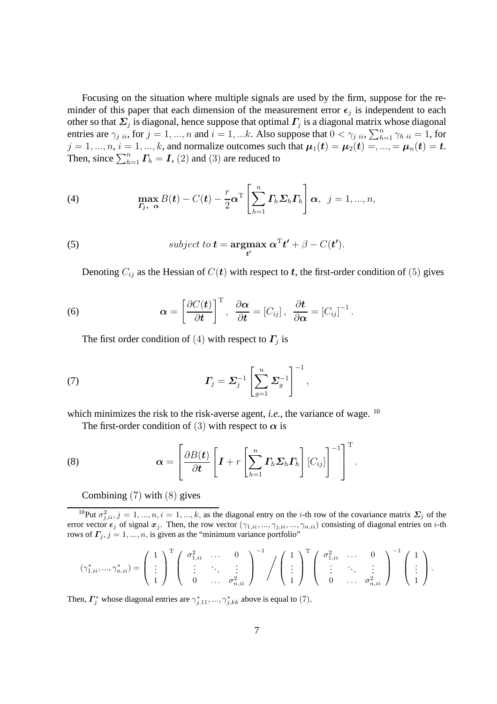Focusing on the situation where multiple signals are used by the firm, suppose for the reminder of this paper that each dimension of the measurement error  $\epsilon_j$  is independent to each other so that  $\mathbf{\Sigma}_j$  is diagonal, hence suppose that optimal  $\boldsymbol{\varGamma}_j$  is a diagonal matrix whose diagonal entries are  $\gamma_{j}$   $_{ii}$ , for  $j = 1, ..., n$  and  $i = 1, ...k$ . Also suppose that  $0 < \gamma_{j}$   $_{ii}$ ,  $\sum_{h=1}^{n} \gamma_{h}$   $_{ii} = 1$ , for  $j = 1, ..., n, i = 1, ..., k$ , and normalize outcomes such that  $\mu_1(t) = \mu_2(t) =, ..., = \mu_n(t) = t$ . Then, since  $\sum_{h=1}^{n} \mathbf{\Gamma}_h = \mathbf{I}$ , (2) and (3) are reduced to

(4) 
$$
\max_{\boldsymbol{\varGamma}_j,\ \boldsymbol{\alpha}} B(\boldsymbol{t}) - C(\boldsymbol{t}) - \frac{r}{2} \boldsymbol{\alpha}^{\mathrm{T}} \left[ \sum_{h=1}^n \boldsymbol{\varGamma}_h \boldsymbol{\varSigma}_h \boldsymbol{\varGamma}_h \right] \boldsymbol{\alpha}, \ \ j = 1, ..., n,
$$

(5) subject to 
$$
\mathbf{t} = \underset{\mathbf{t}'}{\operatorname{argmax}} \ \alpha^{\mathrm{T}} \mathbf{t'} + \beta - C(\mathbf{t'}).
$$

Denoting  $C_{ij}$  as the Hessian of  $C(t)$  with respect to t, the first-order condition of (5) gives

(6) 
$$
\boldsymbol{\alpha} = \left[\frac{\partial C(\boldsymbol{t})}{\partial \boldsymbol{t}}\right]^{\mathrm{T}}, \ \frac{\partial \boldsymbol{\alpha}}{\partial \boldsymbol{t}} = \left[C_{ij}\right], \ \frac{\partial \boldsymbol{t}}{\partial \boldsymbol{\alpha}} = \left[C_{ij}\right]^{-1}.
$$

The first order condition of (4) with respect to  $\Gamma_j$  is

(7) 
$$
\boldsymbol{\varGamma}_j = \boldsymbol{\varSigma}_j^{-1} \left[ \sum_{g=1}^n \boldsymbol{\varSigma}_g^{-1} \right]^{-1},
$$

which minimizes the risk to the risk-averse agent, *i.e.*, the variance of wage. <sup>10</sup>

The first-order condition of (3) with respect to  $\alpha$  is

(8) 
$$
\boldsymbol{\alpha} = \left[\frac{\partial B(t)}{\partial t}\left[\boldsymbol{I} + r\left[\sum_{h=1}^{n} \boldsymbol{\varGamma}_{h} \boldsymbol{\varSigma}_{h} \boldsymbol{\varGamma}_{h}\right] \left[C_{ij}\right]\right]^{-1}\right]^{T}.
$$

Combining (7) with (8) gives

<sup>10</sup>Put  $\sigma_{j,ii}^2$ ,  $j = 1,...,n$ ,  $i = 1,...,k$ , as the diagonal entry on the *i*-th row of the covariance matrix  $\Sigma_j$  of the error vector  $\epsilon_j$  of signal  $x_j$ . Then, the row vector  $(\gamma_{1,ii}, ..., \gamma_{j,ii}, ..., \gamma_{n,ii})$  consisting of diagonal entries on *i*-th rows of  $\Gamma_j$ ,  $j = 1, ..., n$ , is given as the "minimum variance portfolio"

$$
(\gamma_{1,ii}^*,...,\gamma_{n,ii}^*) = \left(\begin{array}{c}1\\ \vdots\\ 1\end{array}\right)^{\mathrm{T}}\left(\begin{array}{ccc}\sigma_{1,ii}^2 & \ldots & 0\\ \vdots & \ddots & \vdots\\ 0 & \ldots & \sigma_{n,ii}^2\end{array}\right)^{-1}\Bigg/\left(\begin{array}{c}1\\ \vdots\\ 1\end{array}\right)^{\mathrm{T}}\left(\begin{array}{ccc}\sigma_{1,ii}^2 & \ldots & 0\\ \vdots & \ddots & \vdots\\ 0 & \ldots & \sigma_{n,ii}^2\end{array}\right)^{-1}\left(\begin{array}{c}1\\ \vdots\\ 1\end{array}\right).
$$

Then,  $\Gamma_j^*$  whose diagonal entries are  $\gamma_{j,11}^*,...,\gamma_{j,kk}^*$  above is equal to (7).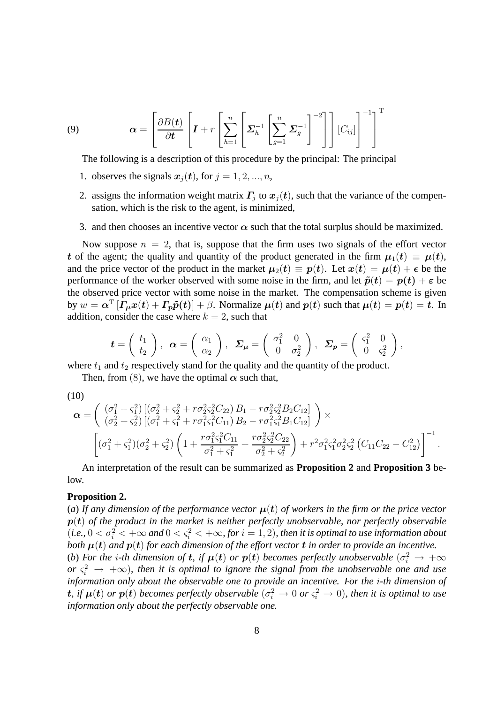(9) 
$$
\boldsymbol{\alpha} = \left[ \frac{\partial B(t)}{\partial t} \left[ \boldsymbol{I} + r \left[ \sum_{h=1}^{n} \left[ \boldsymbol{\Sigma}_{h}^{-1} \left[ \sum_{g=1}^{n} \boldsymbol{\Sigma}_{g}^{-1} \right]^{-2} \right] \right] \left[ C_{ij} \right] \right]^{-1} \right]^{T}
$$

The following is a description of this procedure by the principal: The principal

- 1. observes the signals  $x_j(t)$ , for  $j = 1, 2, ..., n$ ,
- 2. assigns the information weight matrix  $\mathbf{\Gamma}_j$  to  $\mathbf{x}_j(t)$ , such that the variance of the compensation, which is the risk to the agent, is minimized,
- 3. and then chooses an incentive vector  $\alpha$  such that the total surplus should be maximized.

Now suppose  $n = 2$ , that is, suppose that the firm uses two signals of the effort vector t of the agent; the quality and quantity of the product generated in the firm  $\mu_1(t) \equiv \mu(t)$ , and the price vector of the product in the market  $\mu_2(t) \equiv p(t)$ . Let  $x(t) = \mu(t) + \epsilon$  be the performance of the worker observed with some noise in the firm, and let  $\tilde{p}(t) = p(t) + \varepsilon$  be the observed price vector with some noise in the market. The compensation scheme is given by  $w = \alpha^T [ \Gamma_\mu x(t) + \Gamma_p \tilde{p}(t) ] + \beta$ . Normalize  $\mu(t)$  and  $p(t)$  such that  $\mu(t) = p(t) = t$ . In addition, consider the case where  $k = 2$ , such that

$$
\boldsymbol{t} = \begin{pmatrix} t_1 \\ t_2 \end{pmatrix}, \ \ \boldsymbol{\alpha} = \begin{pmatrix} \alpha_1 \\ \alpha_2 \end{pmatrix}, \ \ \boldsymbol{\Sigma}_{\boldsymbol{\mu}} = \begin{pmatrix} \sigma_1^2 & 0 \\ 0 & \sigma_2^2 \end{pmatrix}, \ \ \boldsymbol{\Sigma}_{\boldsymbol{p}} = \begin{pmatrix} \zeta_1^2 & 0 \\ 0 & \zeta_2^2 \end{pmatrix},
$$

where  $t_1$  and  $t_2$  respectively stand for the quality and the quantity of the product.

Then, from (8), we have the optimal  $\alpha$  such that,

(10)

$$
\alpha = \begin{pmatrix} (\sigma_1^2 + \varsigma_1^2) \left[ (\sigma_2^2 + \varsigma_2^2 + r \sigma_2^2 \varsigma_2^2 C_{22}) B_1 - r \sigma_2^2 \varsigma_2^2 B_2 C_{12} \right] \\ (\sigma_2^2 + \varsigma_2^2) \left[ (\sigma_1^2 + \varsigma_1^2 + r \sigma_1^2 \varsigma_1^2 C_{11}) B_2 - r \sigma_1^2 \varsigma_1^2 B_1 C_{12} \right] \end{pmatrix} \times \begin{bmatrix} (\sigma_1^2 + \varsigma_1^2) (\sigma_2^2 + \varsigma_2^2) \left( 1 + \frac{r \sigma_1^2 \varsigma_1^2 C_{11}}{\sigma_1^2 + \varsigma_1^2} + \frac{r \sigma_2^2 \varsigma_2^2 C_{22}}{\sigma_2^2 + \varsigma_2^2} \right) + r^2 \sigma_1^2 \varsigma_1^2 \sigma_2^2 \varsigma_2^2 (C_{11} C_{22} - C_{12}^2) \end{bmatrix}^{-1}.
$$

An interpretation of the result can be summarized as **Proposition 2** and **Proposition 3** below.

### **Proposition 2.**

(*a*) If any dimension of the performance vector  $\mu(t)$  of workers in the firm or the price vector p(t) *of the product in the market is neither perfectly unobservable, nor perfectly observable*  $(i.e., 0 < \sigma_i^2 < +\infty$  and  $0 < \varsigma_i^2 < +\infty$ , for  $i = 1, 2$ ), then it is optimal to use information about *both*  $\mu(t)$  *and*  $p(t)$  *for each dimension of the effort vector* **t** *in order to provide an incentive.* 

(b) For the *i*-th dimension of **t**, if  $\mu(t)$  or  $p(t)$  becomes perfectly unobservable  $(\sigma_i^2 \rightarrow +\infty$  $or \zeta_i^2 \to +\infty$ ), then it is optimal to ignore the signal from the unobservable one and use *information only about the observable one to provide an incentive. For the* i*-th dimension of* t, if  $\mu(t)$  or  $p(t)$  becomes perfectly observable  $(\sigma_i^2 \to 0$  or  $\varsigma_i^2 \to 0)$ , then it is optimal to use *information only about the perfectly observable one.*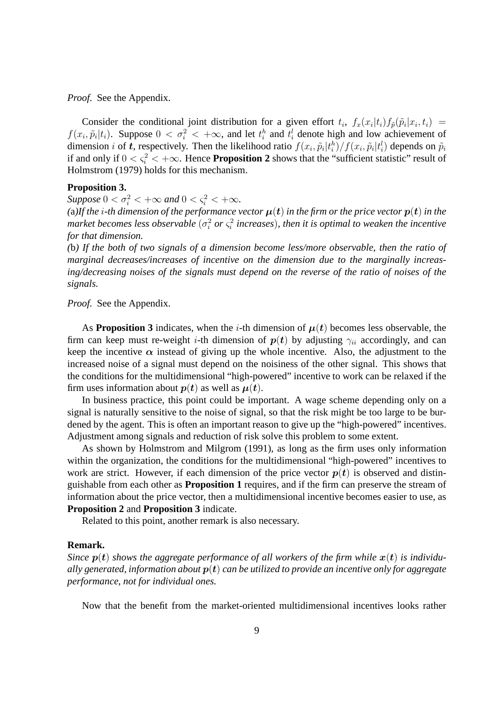*Proof.* See the Appendix.

Consider the conditional joint distribution for a given effort  $t_i$ ,  $f_x(x_i|t_i) f_{\tilde{p}}(\tilde{p}_i|x_i, t_i)$  =  $f(x_i, \tilde{p}_i | t_i)$ . Suppose  $0 < \sigma_i^2 < +\infty$ , and let  $t_i^h$  and  $t_i^l$  denote high and low achievement of dimension *i* of *t*, respectively. Then the likelihood ratio  $f(x_i, \tilde{p}_i|t_i^h)/f(x_i, \tilde{p}_i|t_i^l)$  depends on  $\tilde{p}_i$ if and only if  $0 < \zeta_i^2 < +\infty$ . Hence **Proposition 2** shows that the "sufficient statistic" result of Holmstrom (1979) holds for this mechanism.

#### **Proposition 3.**

 $Suppose 0 < \sigma_i^2 < +\infty$  and  $0 < \varsigma_i^2 < +\infty$ .

(a)If the *i*-th dimension of the performance vector  $\mu(t)$  in the firm or the price vector  $p(t)$  in the market becomes less observable  $(\sigma_i^2$  or  $\varsigma_i^2$  increases), then it is optimal to weaken the incentive *for that dimension.*

*(*b*) If the both of two signals of a dimension become less/more observable, then the ratio of marginal decreases/increases of incentive on the dimension due to the marginally increasing/decreasing noises of the signals must depend on the reverse of the ratio of noises of the signals.*

*Proof.* See the Appendix.

As **Proposition 3** indicates, when the *i*-th dimension of  $\mu(t)$  becomes less observable, the firm can keep must re-weight *i*-th dimension of  $p(t)$  by adjusting  $\gamma_{ii}$  accordingly, and can keep the incentive  $\alpha$  instead of giving up the whole incentive. Also, the adjustment to the increased noise of a signal must depend on the noisiness of the other signal. This shows that the conditions for the multidimensional "high-powered" incentive to work can be relaxed if the firm uses information about  $p(t)$  as well as  $\mu(t)$ .

In business practice, this point could be important. A wage scheme depending only on a signal is naturally sensitive to the noise of signal, so that the risk might be too large to be burdened by the agent. This is often an important reason to give up the "high-powered" incentives. Adjustment among signals and reduction of risk solve this problem to some extent.

As shown by Holmstrom and Milgrom (1991), as long as the firm uses only information within the organization, the conditions for the multidimensional "high-powered" incentives to work are strict. However, if each dimension of the price vector  $p(t)$  is observed and distinguishable from each other as **Proposition 1** requires, and if the firm can preserve the stream of information about the price vector, then a multidimensional incentive becomes easier to use, as **Proposition 2** and **Proposition 3** indicate.

Related to this point, another remark is also necessary.

## **Remark.**

*Since*  $p(t)$  *shows the aggregate performance of all workers of the firm while*  $x(t)$  *is individually generated, information about*  $p(t)$  *can be utilized to provide an incentive only for aggregate performance, not for individual ones.*

Now that the benefit from the market-oriented multidimensional incentives looks rather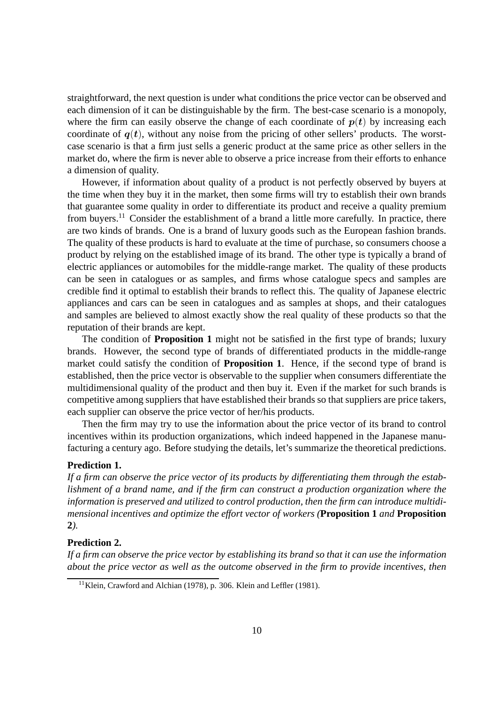straightforward, the next question is under what conditions the price vector can be observed and each dimension of it can be distinguishable by the firm. The best-case scenario is a monopoly, where the firm can easily observe the change of each coordinate of  $p(t)$  by increasing each coordinate of  $q(t)$ , without any noise from the pricing of other sellers' products. The worstcase scenario is that a firm just sells a generic product at the same price as other sellers in the market do, where the firm is never able to observe a price increase from their efforts to enhance a dimension of quality.

However, if information about quality of a product is not perfectly observed by buyers at the time when they buy it in the market, then some firms will try to establish their own brands that guarantee some quality in order to differentiate its product and receive a quality premium from buyers.<sup>11</sup> Consider the establishment of a brand a little more carefully. In practice, there are two kinds of brands. One is a brand of luxury goods such as the European fashion brands. The quality of these products is hard to evaluate at the time of purchase, so consumers choose a product by relying on the established image of its brand. The other type is typically a brand of electric appliances or automobiles for the middle-range market. The quality of these products can be seen in catalogues or as samples, and firms whose catalogue specs and samples are credible find it optimal to establish their brands to reflect this. The quality of Japanese electric appliances and cars can be seen in catalogues and as samples at shops, and their catalogues and samples are believed to almost exactly show the real quality of these products so that the reputation of their brands are kept.

The condition of **Proposition 1** might not be satisfied in the first type of brands; luxury brands. However, the second type of brands of differentiated products in the middle-range market could satisfy the condition of **Proposition 1**. Hence, if the second type of brand is established, then the price vector is observable to the supplier when consumers differentiate the multidimensional quality of the product and then buy it. Even if the market for such brands is competitive among suppliers that have established their brands so that suppliers are price takers, each supplier can observe the price vector of her/his products.

Then the firm may try to use the information about the price vector of its brand to control incentives within its production organizations, which indeed happened in the Japanese manufacturing a century ago. Before studying the details, let's summarize the theoretical predictions.

## **Prediction 1.**

*If a firm can observe the price vector of its products by differentiating them through the establishment of a brand name, and if the firm can construct a production organization where the information is preserved and utilized to control production, then the firm can introduce multidimensional incentives and optimize the effort vector of workers (***Proposition 1** *and* **Proposition 2***).*

#### **Prediction 2.**

*If a firm can observe the price vector by establishing its brand so that it can use the information about the price vector as well as the outcome observed in the firm to provide incentives, then*

<sup>&</sup>lt;sup>11</sup>Klein, Crawford and Alchian (1978), p. 306. Klein and Leffler (1981).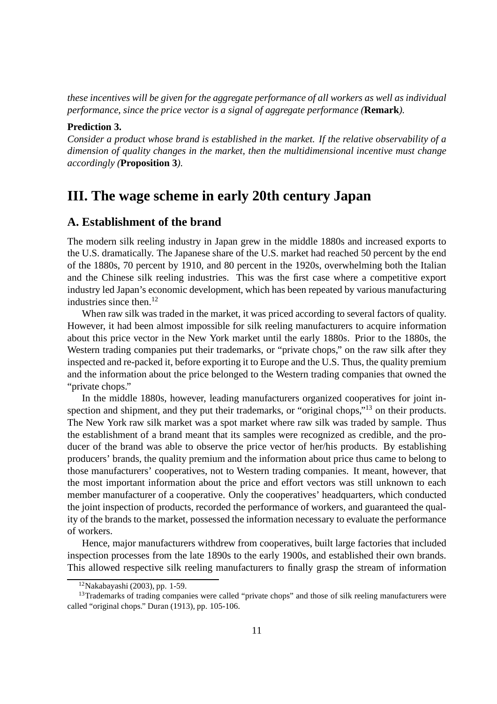*these incentives will be given for the aggregate performance of all workers as well as individual performance, since the price vector is a signal of aggregate performance (***Remark***).*

## **Prediction 3.**

*Consider a product whose brand is established in the market. If the relative observability of a dimension of quality changes in the market, then the multidimensional incentive must change accordingly (***Proposition 3***).*

## **III. The wage scheme in early 20th century Japan**

## **A. Establishment of the brand**

The modern silk reeling industry in Japan grew in the middle 1880s and increased exports to the U.S. dramatically. The Japanese share of the U.S. market had reached 50 percent by the end of the 1880s, 70 percent by 1910, and 80 percent in the 1920s, overwhelming both the Italian and the Chinese silk reeling industries. This was the first case where a competitive export industry led Japan's economic development, which has been repeated by various manufacturing industries since then. $12$ 

When raw silk was traded in the market, it was priced according to several factors of quality. However, it had been almost impossible for silk reeling manufacturers to acquire information about this price vector in the New York market until the early 1880s. Prior to the 1880s, the Western trading companies put their trademarks, or "private chops," on the raw silk after they inspected and re-packed it, before exporting it to Europe and the U.S. Thus, the quality premium and the information about the price belonged to the Western trading companies that owned the "private chops."

In the middle 1880s, however, leading manufacturers organized cooperatives for joint inspection and shipment, and they put their trademarks, or "original chops,"<sup>13</sup> on their products. The New York raw silk market was a spot market where raw silk was traded by sample. Thus the establishment of a brand meant that its samples were recognized as credible, and the producer of the brand was able to observe the price vector of her/his products. By establishing producers' brands, the quality premium and the information about price thus came to belong to those manufacturers' cooperatives, not to Western trading companies. It meant, however, that the most important information about the price and effort vectors was still unknown to each member manufacturer of a cooperative. Only the cooperatives' headquarters, which conducted the joint inspection of products, recorded the performance of workers, and guaranteed the quality of the brands to the market, possessed the information necessary to evaluate the performance of workers.

Hence, major manufacturers withdrew from cooperatives, built large factories that included inspection processes from the late 1890s to the early 1900s, and established their own brands. This allowed respective silk reeling manufacturers to finally grasp the stream of information

 $12$ Nakabayashi (2003), pp. 1-59.

<sup>&</sup>lt;sup>13</sup>Trademarks of trading companies were called "private chops" and those of silk reeling manufacturers were called "original chops." Duran (1913), pp. 105-106.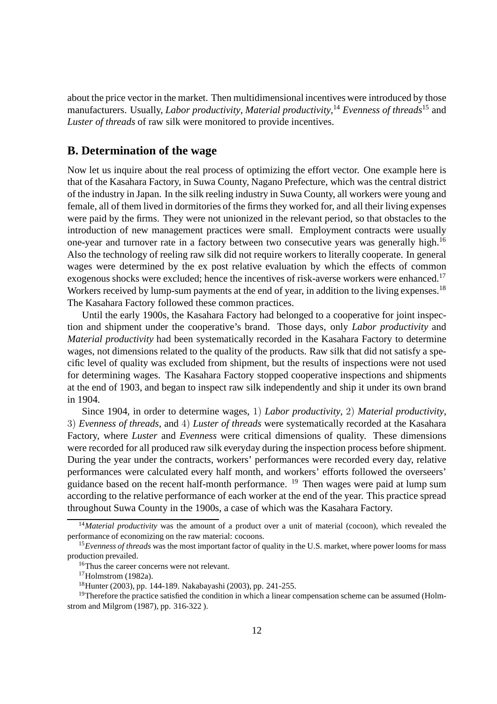about the price vector in the market. Then multidimensional incentives were introduced by those manufacturers. Usually, *Labor productivity*, *Material productivity*, <sup>14</sup> *Evenness of threads*<sup>15</sup> and *Luster of threads* of raw silk were monitored to provide incentives.

## **B. Determination of the wage**

Now let us inquire about the real process of optimizing the effort vector. One example here is that of the Kasahara Factory, in Suwa County, Nagano Prefecture, which was the central district of the industry in Japan. In the silk reeling industry in Suwa County, all workers were young and female, all of them lived in dormitories of the firms they worked for, and all their living expenses were paid by the firms. They were not unionized in the relevant period, so that obstacles to the introduction of new management practices were small. Employment contracts were usually one-year and turnover rate in a factory between two consecutive years was generally high.<sup>16</sup> Also the technology of reeling raw silk did not require workers to literally cooperate. In general wages were determined by the ex post relative evaluation by which the effects of common exogenous shocks were excluded; hence the incentives of risk-averse workers were enhanced.<sup>17</sup> Workers received by lump-sum payments at the end of year, in addition to the living expenses.<sup>18</sup> The Kasahara Factory followed these common practices.

Until the early 1900s, the Kasahara Factory had belonged to a cooperative for joint inspection and shipment under the cooperative's brand. Those days, only *Labor productivity* and *Material productivity* had been systematically recorded in the Kasahara Factory to determine wages, not dimensions related to the quality of the products. Raw silk that did not satisfy a specific level of quality was excluded from shipment, but the results of inspections were not used for determining wages. The Kasahara Factory stopped cooperative inspections and shipments at the end of 1903, and began to inspect raw silk independently and ship it under its own brand in 1904.

Since 1904, in order to determine wages, 1) *Labor productivity*, 2) *Material productivity*, 3) *Evenness of threads*, and 4) *Luster of threads* were systematically recorded at the Kasahara Factory, where *Luster* and *Evenness* were critical dimensions of quality. These dimensions were recorded for all produced raw silk everyday during the inspection process before shipment. During the year under the contracts, workers' performances were recorded every day, relative performances were calculated every half month, and workers' efforts followed the overseers' guidance based on the recent half-month performance.  $^{19}$  Then wages were paid at lump sum according to the relative performance of each worker at the end of the year. This practice spread throughout Suwa County in the 1900s, a case of which was the Kasahara Factory.

<sup>14</sup>*Material productivity* was the amount of a product over a unit of material (cocoon), which revealed the performance of economizing on the raw material: cocoons.

<sup>15</sup>*Evenness of threads* was the most important factor of quality in the U.S. market, where power looms for mass production prevailed.

<sup>&</sup>lt;sup>16</sup>Thus the career concerns were not relevant.

 $17$ Holmstrom (1982a).

<sup>18</sup>Hunter (2003), pp. 144-189. Nakabayashi (2003), pp. 241-255.

<sup>&</sup>lt;sup>19</sup>Therefore the practice satisfied the condition in which a linear compensation scheme can be assumed (Holmstrom and Milgrom (1987), pp. 316-322 ).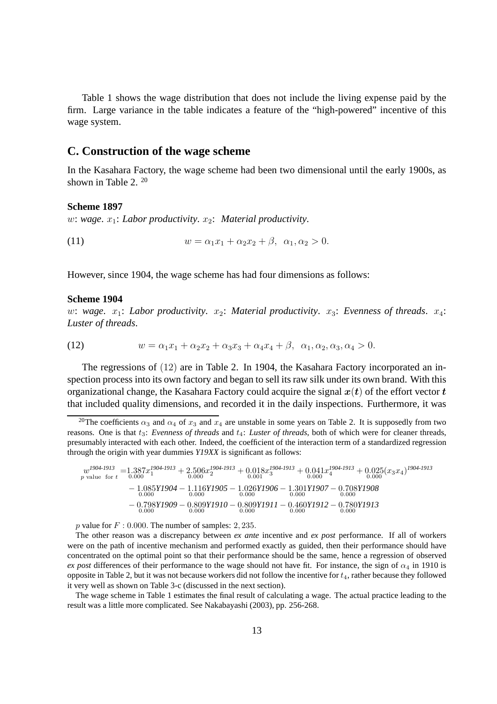Table 1 shows the wage distribution that does not include the living expense paid by the firm. Large variance in the table indicates a feature of the "high-powered" incentive of this wage system.

## **C. Construction of the wage scheme**

In the Kasahara Factory, the wage scheme had been two dimensional until the early 1900s, as shown in Table 2. <sup>20</sup>

## **Scheme 1897**

w: wage.  $x_1$ : *Labor productivity.*  $x_2$ : *Material productivity.* 

(11)  $w = \alpha_1 x_1 + \alpha_2 x_2 + \beta, \ \alpha_1, \alpha_2 > 0.$ 

However, since 1904, the wage scheme has had four dimensions as follows:

#### **Scheme 1904**

w: wage.  $x_1$ : Labor productivity.  $x_2$ : Material productivity.  $x_3$ : Evenness of threads.  $x_4$ : *Luster of threads*.

(12) 
$$
w = \alpha_1 x_1 + \alpha_2 x_2 + \alpha_3 x_3 + \alpha_4 x_4 + \beta, \ \alpha_1, \alpha_2, \alpha_3, \alpha_4 > 0.
$$

The regressions of (12) are in Table 2. In 1904, the Kasahara Factory incorporated an inspection process into its own factory and began to sell its raw silk under its own brand. With this organizational change, the Kasahara Factory could acquire the signal  $x(t)$  of the effort vector t that included quality dimensions, and recorded it in the daily inspections. Furthermore, it was

$$
w^{1904 \tcdot 1913} = 1.387x_1^{1904 \tcdot 1913} + 2.506x_2^{1904 \tcdot 1913} + 0.018x_3^{1904 \tcdot 1913} + 0.041x_4^{1904 \tcdot 1913} + 0.025(x_3x_4)^{1904 \tcdot 1913}
$$
  
\n
$$
- 1.085Y1904 - 1.116Y1905 - 1.026Y1906 - 1.301Y1907 - 0.708Y1908
$$
  
\n
$$
- 0.798Y1909 - 0.809Y1910 - 0.809Y1911 - 0.460Y1912 - 0.780Y1913
$$
  
\n
$$
- 0.798Y1909 - 0.809Y1910 - 0.809Y1911 - 0.460Y1912 - 0.780Y1913
$$

p value for  $F: 0.000$ . The number of samples: 2, 235.

The other reason was a discrepancy between *ex ante* incentive and *ex post* performance. If all of workers were on the path of incentive mechanism and performed exactly as guided, then their performance should have concentrated on the optimal point so that their performance should be the same, hence a regression of observed *ex post* differences of their performance to the wage should not have fit. For instance, the sign of  $\alpha_4$  in 1910 is opposite in Table 2, but it was not because workers did not follow the incentive for  $t_4$ , rather because they followed it very well as shown on Table 3-c (discussed in the next section).

The wage scheme in Table 1 estimates the final result of calculating a wage. The actual practice leading to the result was a little more complicated. See Nakabayashi (2003), pp. 256-268.

<sup>&</sup>lt;sup>20</sup>The coefficients  $\alpha_3$  and  $\alpha_4$  of  $x_3$  and  $x_4$  are unstable in some years on Table 2. It is supposedly from two reasons. One is that  $t_3$ : *Evenness of threads* and  $t_4$ : *Luster of threads*, both of which were for cleaner threads, presumably interacted with each other. Indeed, the coefficient of the interaction term of a standardized regression through the origin with year dummies *Y19XX* is significant as follows: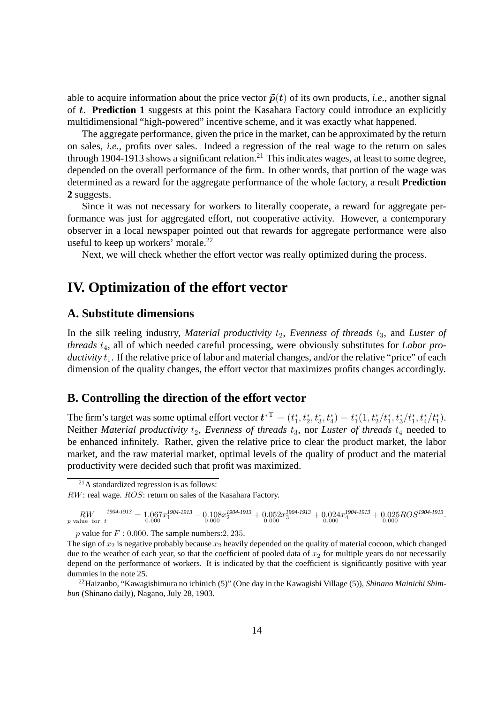able to acquire information about the price vector  $\tilde{p}(t)$  of its own products, *i.e.*, another signal of t. **Prediction 1** suggests at this point the Kasahara Factory could introduce an explicitly multidimensional "high-powered" incentive scheme, and it was exactly what happened.

The aggregate performance, given the price in the market, can be approximated by the return on sales, *i.e.*, profits over sales. Indeed a regression of the real wage to the return on sales through 1904-1913 shows a significant relation.<sup>21</sup> This indicates wages, at least to some degree, depended on the overall performance of the firm. In other words, that portion of the wage was determined as a reward for the aggregate performance of the whole factory, a result **Prediction 2** suggests.

Since it was not necessary for workers to literally cooperate, a reward for aggregate performance was just for aggregated effort, not cooperative activity. However, a contemporary observer in a local newspaper pointed out that rewards for aggregate performance were also useful to keep up workers' morale.<sup>22</sup>

Next, we will check whether the effort vector was really optimized during the process.

## **IV. Optimization of the effort vector**

## **A. Substitute dimensions**

In the silk reeling industry, *Material productivity*  $t_2$ , *Evenness of threads*  $t_3$ , and *Luster of* threads  $t_4$ , all of which needed careful processing, were obviously substitutes for *Labor productivity*  $t_1$ . If the relative price of labor and material changes, and/or the relative "price" of each dimension of the quality changes, the effort vector that maximizes profits changes accordingly.

## **B. Controlling the direction of the effort vector**

The firm's target was some optimal effort vector  $\boldsymbol{t}^{*{\rm T}}=(t_{1}^{*})^{\rm T}$  $t_1^*, t_2^*, t_3^*, t_4^* = t_1^*$  $t_1^*(1, t_2^*/t_1^*, t_3^*/t_1^*, t_4^*/t_1^*).$ Neither *Material productivity*  $t_2$ , *Evenness of threads*  $t_3$ , nor *Luster of threads*  $t_4$  needed to be enhanced infinitely. Rather, given the relative price to clear the product market, the labor market, and the raw material market, optimal levels of the quality of product and the material productivity were decided such that profit was maximized.

<sup>21</sup>A standardized regression is as follows: RW: real wage. ROS: return on sales of the Kasahara Factory.

 $RW \over {_{p} \text{ value for } t}^{1904 \cdot 1913} = 1.067 x_1^{1904 \cdot 1913} - 0.108 x_2^{1904 \cdot 1913} + 0.052 x_3^{1904 \cdot 1913} + 0.024 x_4^{1904 \cdot 1913} + 0.025 ROS^{1904 \cdot 1913}.$ 

p value for  $F: 0.000$ . The sample numbers: 2, 235.

The sign of  $x_2$  is negative probably because  $x_2$  heavily depended on the quality of material cocoon, which changed due to the weather of each year, so that the coefficient of pooled data of  $x<sub>2</sub>$  for multiple years do not necessarily depend on the performance of workers. It is indicated by that the coefficient is significantly positive with year dummies in the note 25.

<sup>22</sup>Haizanbo, "Kawagishimura no ichinich (5)" (One day in the Kawagishi Village (5)), *Shinano Mainichi Shimbun* (Shinano daily), Nagano, July 28, 1903.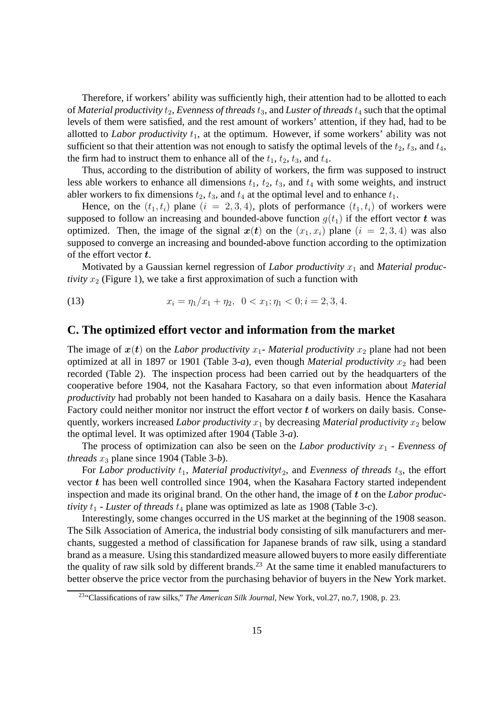Therefore, if workers' ability was sufficiently high, their attention had to be allotted to each of *Material productivity*  $t_2$ , *Evenness of threads*  $t_3$ , and *Luster of threads*  $t_4$  such that the optimal levels of them were satisfied, and the rest amount of workers' attention, if they had, had to be allotted to *Labor productivity*  $t_1$ , at the optimum. However, if some workers' ability was not sufficient so that their attention was not enough to satisfy the optimal levels of the  $t_2$ ,  $t_3$ , and  $t_4$ , the firm had to instruct them to enhance all of the  $t_1$ ,  $t_2$ ,  $t_3$ , and  $t_4$ .

Thus, according to the distribution of ability of workers, the firm was supposed to instruct less able workers to enhance all dimensions  $t_1$ ,  $t_2$ ,  $t_3$ , and  $t_4$  with some weights, and instruct abler workers to fix dimensions  $t_2$ ,  $t_3$ , and  $t_4$  at the optimal level and to enhance  $t_1$ .

Hence, on the  $(t_1, t_i)$  plane  $(i = 2, 3, 4)$ , plots of performance  $(t_1, t_i)$  of workers were supposed to follow an increasing and bounded-above function  $g(t_1)$  if the effort vector t was optimized. Then, the image of the signal  $x(t)$  on the  $(x_1, x_i)$  plane  $(i = 2, 3, 4)$  was also supposed to converge an increasing and bounded-above function according to the optimization of the effort vector t.

Motivated by a Gaussian kernel regression of *Labor productivity*  $x_1$  and *Material productivity*  $x_2$  (Figure 1), we take a first approximation of such a function with

(13) 
$$
x_i = \eta_1/x_1 + \eta_2, \ \ 0 < x_1; \eta_1 < 0; i = 2, 3, 4.
$$

## **C. The optimized effort vector and information from the market**

The image of  $x(t)$  on the *Labor productivity*  $x_1$ - *Material productivity*  $x_2$  plane had not been optimized at all in 1897 or 1901 (Table 3-*a*), even though *Material productivity*  $x_2$  had been recorded (Table 2). The inspection process had been carried out by the headquarters of the cooperative before 1904, not the Kasahara Factory, so that even information about *Material productivity* had probably not been handed to Kasahara on a daily basis. Hence the Kasahara Factory could neither monitor nor instruct the effort vector  $t$  of workers on daily basis. Consequently, workers increased *Labor productivity*  $x_1$  by decreasing *Material productivity*  $x_2$  below the optimal level. It was optimized after 1904 (Table 3-*a*).

The process of optimization can also be seen on the *Labor productivity*  $x_1$  - *Evenness of threads*  $x_3$  plane since 1904 (Table 3-*b*).

For *Labor productivity*  $t_1$ , *Material productivity* $t_2$ , and *Evenness of threads*  $t_3$ , the effort vector  $t$  has been well controlled since 1904, when the Kasahara Factory started independent inspection and made its original brand. On the other hand, the image of t on the *Labor productivity*  $t_1$  - *Luster of threads*  $t_4$  plane was optimized as late as 1908 (Table 3-*c*).

Interestingly, some changes occurred in the US market at the beginning of the 1908 season. The Silk Association of America, the industrial body consisting of silk manufacturers and merchants, suggested a method of classification for Japanese brands of raw silk, using a standard brand as a measure. Using this standardized measure allowed buyers to more easily differentiate the quality of raw silk sold by different brands.<sup>23</sup> At the same time it enabled manufacturers to better observe the price vector from the purchasing behavior of buyers in the New York market.

<sup>23</sup>"Classifications of raw silks," *The American Silk Journal*, New York, vol.27, no.7, 1908, p. 23.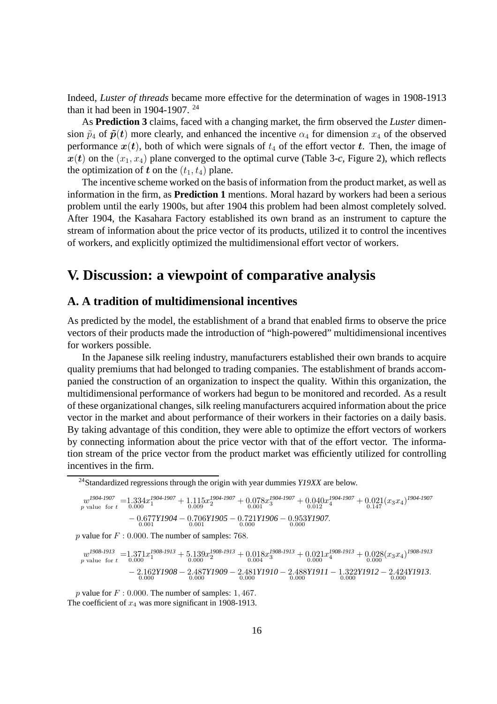Indeed, *Luster of threads* became more effective for the determination of wages in 1908-1913 than it had been in 1904-1907. <sup>24</sup>

As **Prediction 3** claims, faced with a changing market, the firm observed the *Luster* dimension  $\tilde{p}_4$  of  $\tilde{p}(t)$  more clearly, and enhanced the incentive  $\alpha_4$  for dimension  $x_4$  of the observed performance  $x(t)$ , both of which were signals of  $t_4$  of the effort vector t. Then, the image of  $x(t)$  on the  $(x_1, x_4)$  plane converged to the optimal curve (Table 3-*c*, Figure 2), which reflects the optimization of t on the  $(t_1, t_4)$  plane.

The incentive scheme worked on the basis of information from the product market, as well as information in the firm, as **Prediction 1** mentions. Moral hazard by workers had been a serious problem until the early 1900s, but after 1904 this problem had been almost completely solved. After 1904, the Kasahara Factory established its own brand as an instrument to capture the stream of information about the price vector of its products, utilized it to control the incentives of workers, and explicitly optimized the multidimensional effort vector of workers.

## **V. Discussion: a viewpoint of comparative analysis**

## **A. A tradition of multidimensional incentives**

As predicted by the model, the establishment of a brand that enabled firms to observe the price vectors of their products made the introduction of "high-powered" multidimensional incentives for workers possible.

In the Japanese silk reeling industry, manufacturers established their own brands to acquire quality premiums that had belonged to trading companies. The establishment of brands accompanied the construction of an organization to inspect the quality. Within this organization, the multidimensional performance of workers had begun to be monitored and recorded. As a result of these organizational changes, silk reeling manufacturers acquired information about the price vector in the market and about performance of their workers in their factories on a daily basis. By taking advantage of this condition, they were able to optimize the effort vectors of workers by connecting information about the price vector with that of the effort vector. The information stream of the price vector from the product market was efficiently utilized for controlling incentives in the firm.

<sup>24</sup>Standardized regressions through the origin with year dummies *Y19XX* are below.

$$
w^{1904 \cdot 1907} = 1.334 x^{1904 \cdot 1907}_{1} + 1.115 x^{1904 \cdot 1907}_{2} + 0.078 x^{1904 \cdot 1907}_{3} + 0.040 x^{1904 \cdot 1907}_{4} + 0.021 (x_3 x_4)^{1904 \cdot 1907}_{0.147}
$$
  
- 0.677Y1904 - 0.706Y1905 - 0.721Y1906 - 0.953Y1907.  
- 0.001  
<sup>0.001</sup>

p value for  $F : 0.000$ . The number of samples: 768.

$$
w^{1908 \cdot 1913} = 1.371x^{1908 \cdot 1913} + 5.139x^{1908 \cdot 1913} + 0.018x^{1908 \cdot 1913} + 0.021x^{1908 \cdot 1913} + 0.028(x_3x_4)^{1908 \cdot 1913}
$$
  
\n
$$
- 2.162Y1908 - 2.487Y1909 - 2.481Y1910 - 2.488Y1911 - 1.322Y1912 - 2.424Y1913.
$$
  
\n
$$
0.000
$$

p value for  $F: 0.000$ . The number of samples: 1, 467. The coefficient of  $x_4$  was more significant in 1908-1913.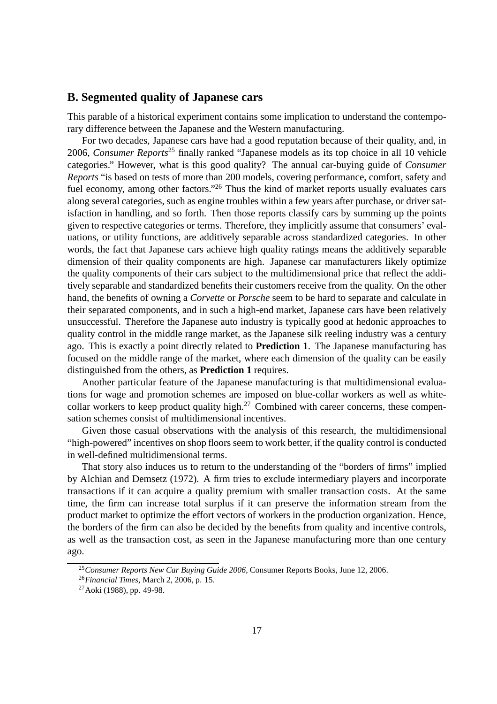## **B. Segmented quality of Japanese cars**

This parable of a historical experiment contains some implication to understand the contemporary difference between the Japanese and the Western manufacturing.

For two decades, Japanese cars have had a good reputation because of their quality, and, in 2006, *Consumer Reports*<sup>25</sup> finally ranked "Japanese models as its top choice in all 10 vehicle categories." However, what is this good quality? The annual car-buying guide of *Consumer Reports* "is based on tests of more than 200 models, covering performance, comfort, safety and fuel economy, among other factors."<sup>26</sup> Thus the kind of market reports usually evaluates cars along several categories, such as engine troubles within a few years after purchase, or driver satisfaction in handling, and so forth. Then those reports classify cars by summing up the points given to respective categories or terms. Therefore, they implicitly assume that consumers' evaluations, or utility functions, are additively separable across standardized categories. In other words, the fact that Japanese cars achieve high quality ratings means the additively separable dimension of their quality components are high. Japanese car manufacturers likely optimize the quality components of their cars subject to the multidimensional price that reflect the additively separable and standardized benefits their customers receive from the quality. On the other hand, the benefits of owning a *Corvette* or *Porsche* seem to be hard to separate and calculate in their separated components, and in such a high-end market, Japanese cars have been relatively unsuccessful. Therefore the Japanese auto industry is typically good at hedonic approaches to quality control in the middle range market, as the Japanese silk reeling industry was a century ago. This is exactly a point directly related to **Prediction 1**. The Japanese manufacturing has focused on the middle range of the market, where each dimension of the quality can be easily distinguished from the others, as **Prediction 1** requires.

Another particular feature of the Japanese manufacturing is that multidimensional evaluations for wage and promotion schemes are imposed on blue-collar workers as well as whitecollar workers to keep product quality high.<sup>27</sup> Combined with career concerns, these compensation schemes consist of multidimensional incentives.

Given those casual observations with the analysis of this research, the multidimensional "high-powered" incentives on shop floors seem to work better, if the quality control is conducted in well-defined multidimensional terms.

That story also induces us to return to the understanding of the "borders of firms" implied by Alchian and Demsetz (1972). A firm tries to exclude intermediary players and incorporate transactions if it can acquire a quality premium with smaller transaction costs. At the same time, the firm can increase total surplus if it can preserve the information stream from the product market to optimize the effort vectors of workers in the production organization. Hence, the borders of the firm can also be decided by the benefits from quality and incentive controls, as well as the transaction cost, as seen in the Japanese manufacturing more than one century ago.

<sup>25</sup>*Consumer Reports New Car Buying Guide 2006*, Consumer Reports Books, June 12, 2006.

<sup>26</sup>*Financial Times*, March 2, 2006, p. 15.

<sup>27</sup>Aoki (1988), pp. 49-98.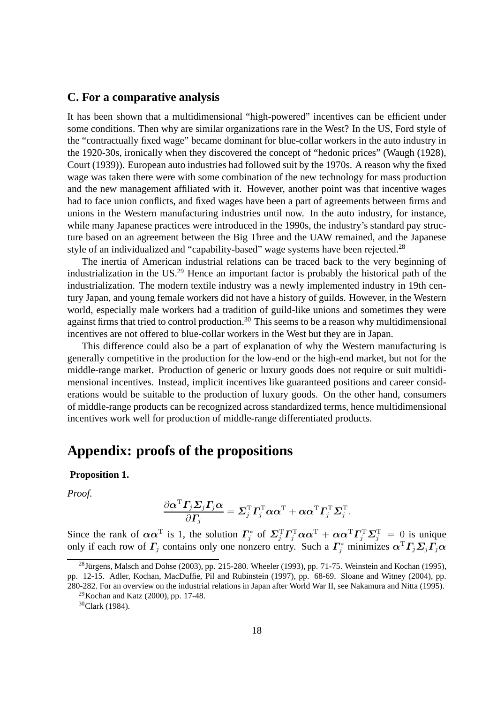## **C. For a comparative analysis**

It has been shown that a multidimensional "high-powered" incentives can be efficient under some conditions. Then why are similar organizations rare in the West? In the US, Ford style of the "contractually fixed wage" became dominant for blue-collar workers in the auto industry in the 1920-30s, ironically when they discovered the concept of "hedonic prices" (Waugh (1928), Court (1939)). European auto industries had followed suit by the 1970s. A reason why the fixed wage was taken there were with some combination of the new technology for mass production and the new management affiliated with it. However, another point was that incentive wages had to face union conflicts, and fixed wages have been a part of agreements between firms and unions in the Western manufacturing industries until now. In the auto industry, for instance, while many Japanese practices were introduced in the 1990s, the industry's standard pay structure based on an agreement between the Big Three and the UAW remained, and the Japanese style of an individualized and "capability-based" wage systems have been rejected.<sup>28</sup>

The inertia of American industrial relations can be traced back to the very beginning of industrialization in the US.<sup>29</sup> Hence an important factor is probably the historical path of the industrialization. The modern textile industry was a newly implemented industry in 19th century Japan, and young female workers did not have a history of guilds. However, in the Western world, especially male workers had a tradition of guild-like unions and sometimes they were against firms that tried to control production.<sup>30</sup> This seems to be a reason why multidimensional incentives are not offered to blue-collar workers in the West but they are in Japan.

This difference could also be a part of explanation of why the Western manufacturing is generally competitive in the production for the low-end or the high-end market, but not for the middle-range market. Production of generic or luxury goods does not require or suit multidimensional incentives. Instead, implicit incentives like guaranteed positions and career considerations would be suitable to the production of luxury goods. On the other hand, consumers of middle-range products can be recognized across standardized terms, hence multidimensional incentives work well for production of middle-range differentiated products.

## **Appendix: proofs of the propositions**

## **Proposition 1.**

*Proof.*

$$
\frac{\partial \boldsymbol{\alpha}^{\text{T}} \boldsymbol{\varGamma}_j \boldsymbol{\varSigma}_j \boldsymbol{\varGamma}_j \boldsymbol{\alpha} }{\partial \boldsymbol{\varGamma}_j} = \boldsymbol{\varSigma}_j^{\text{T}} \boldsymbol{\varGamma}_j^{\text{T}} \boldsymbol{\alpha} \boldsymbol{\alpha}^{\text{T}} + \boldsymbol{\alpha} \boldsymbol{\alpha}^{\text{T}} \boldsymbol{\varGamma}_j^{\text{T}} \boldsymbol{\varSigma}_j^{\text{T}}.
$$

Since the rank of  $\alpha \alpha^T$  is 1, the solution  $\Gamma_i^*$ <sup>1\*</sup> of  $\sum_{j}^{\text{T}} \Gamma_{j}^{\text{T}} \alpha \alpha^{\text{T}} + \alpha \alpha^{\text{T}} \Gamma_{j}^{\text{T}} \Sigma_{j}^{\text{T}} = 0$  is unique only if each row of  $\Gamma_j$  contains only one nonzero entry. Such a  $\Gamma_j^*$  minimizes  $\alpha^T \Gamma_j \Sigma_j \Gamma_j \alpha$ 

 $^{28}$ Jürgens, Malsch and Dohse (2003), pp. 215-280. Wheeler (1993), pp. 71-75. Weinstein and Kochan (1995), pp. 12-15. Adler, Kochan, MacDuffie, Pil and Rubinstein (1997), pp. 68-69. Sloane and Witney (2004), pp. 280-282. For an overview on the industrial relations in Japan after World War II, see Nakamura and Nitta (1995).

 $^{29}$ Kochan and Katz (2000), pp. 17-48. <sup>30</sup>Clark (1984).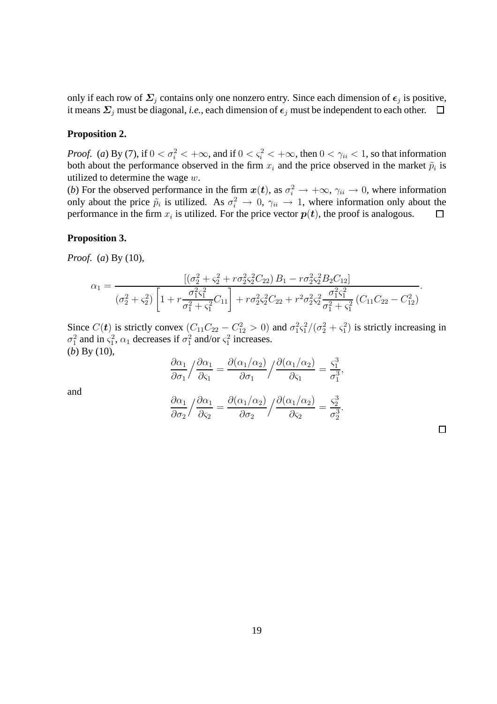only if each row of  $\Sigma_j$  contains only one nonzero entry. Since each dimension of  $\epsilon_j$  is positive, it means  $\Sigma_j$  must be diagonal, *i.e.*, each dimension of  $\epsilon_j$  must be independent to each other.  $\square$ 

## **Proposition 2.**

*Proof.* (*a*) By (7), if  $0 < \sigma_i^2 < +\infty$ , and if  $0 < \varsigma_i^2 < +\infty$ , then  $0 < \gamma_{ii} < 1$ , so that information both about the performance observed in the firm  $x_i$  and the price observed in the market  $\tilde{p}_i$  is utilized to determine the wage  $w$ .

(*b*) For the observed performance in the firm  $x(t)$ , as  $\sigma_i^2 \to +\infty$ ,  $\gamma_{ii} \to 0$ , where information only about the price  $\tilde{p}_i$  is utilized. As  $\sigma_i^2 \to 0$ ,  $\gamma_{ii} \to 1$ , where information only about the performance in the firm  $x_i$  is utilized. For the price vector  $p(t)$ , the proof is analogous.  $\Box$ 

#### **Proposition 3.**

*Proof.* (*a*) By (10),

$$
\alpha_1 = \frac{\left[ (\sigma_2^2 + \varsigma_2^2 + r \sigma_2^2 \varsigma_2^2 C_{22}) B_1 - r \sigma_2^2 \varsigma_2^2 B_2 C_{12} \right]}{(\sigma_2^2 + \varsigma_2^2) \left[ 1 + r \frac{\sigma_1^2 \varsigma_1^2}{\sigma_1^2 + \varsigma_1^2} C_{11} \right] + r \sigma_2^2 \varsigma_2^2 C_{22} + r^2 \sigma_2^2 \varsigma_2^2 \frac{\sigma_1^2 \varsigma_1^2}{\sigma_1^2 + \varsigma_1^2} (C_{11} C_{22} - C_{12}^2)}.
$$

Since  $C(t)$  is strictly convex  $(C_{11}C_{22} - C_{12}^2 > 0)$  and  $\sigma_1^2 \varsigma_1^2/(\sigma_2^2 + \varsigma_1^2)$  is strictly increasing in  $\sigma_1^2$  and in  $\varsigma_1^2$ ,  $\alpha_1$  decreases if  $\sigma_1^2$  and/or  $\varsigma_1^2$  increases. (*b*) By (10),

$$
\frac{\partial \alpha_1}{\partial \sigma_1} / \frac{\partial \alpha_1}{\partial \zeta_1} = \frac{\partial (\alpha_1 / \alpha_2)}{\partial \sigma_1} / \frac{\partial (\alpha_1 / \alpha_2)}{\partial \zeta_1} = \frac{\zeta_1^3}{\sigma_1^3}
$$

,

.

and

$$
\frac{\partial \alpha_1}{\partial \sigma_2} / \frac{\partial \alpha_1}{\partial \varsigma_2} = \frac{\partial (\alpha_1 / \alpha_2)}{\partial \sigma_2} / \frac{\partial (\alpha_1 / \alpha_2)}{\partial \varsigma_2} = \frac{\varsigma_2^3}{\sigma_2^3}
$$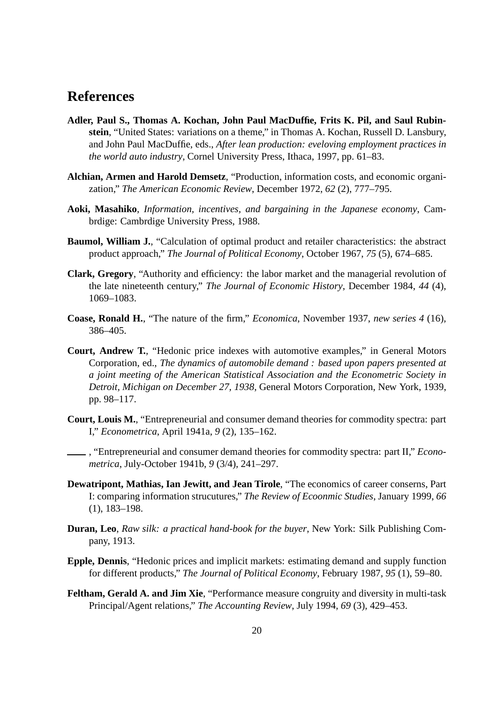## **References**

- **Adler, Paul S., Thomas A. Kochan, John Paul MacDuffie, Frits K. Pil, and Saul Rubinstein**, "United States: variations on a theme," in Thomas A. Kochan, Russell D. Lansbury, and John Paul MacDuffie, eds., *After lean production: eveloving employment practices in the world auto industry*, Cornel University Press, Ithaca, 1997, pp. 61–83.
- **Alchian, Armen and Harold Demsetz**, "Production, information costs, and economic organization," *The American Economic Review*, December 1972, *62* (2), 777–795.
- **Aoki, Masahiko**, *Information, incentives, and bargaining in the Japanese economy*, Cambrdige: Cambrdige University Press, 1988.
- **Baumol, William J.**, "Calculation of optimal product and retailer characteristics: the abstract product approach," *The Journal of Political Economy*, October 1967, *75* (5), 674–685.
- **Clark, Gregory**, "Authority and efficiency: the labor market and the managerial revolution of the late nineteenth century," *The Journal of Economic History*, December 1984, *44* (4), 1069–1083.
- **Coase, Ronald H.**, "The nature of the firm," *Economica*, November 1937, *new series 4* (16), 386–405.
- **Court, Andrew T.**, "Hedonic price indexes with automotive examples," in General Motors Corporation, ed., *The dynamics of automobile demand : based upon papers presented at a joint meeting of the American Statistical Association and the Econometric Society in Detroit, Michigan on December 27, 1938*, General Motors Corporation, New York, 1939, pp. 98–117.
- **Court, Louis M.**, "Entrepreneurial and consumer demand theories for commodity spectra: part I," *Econometrica*, April 1941a, *9* (2), 135–162.
- , "Entrepreneurial and consumer demand theories for commodity spectra: part II," *Econometrica*, July-October 1941b, *9* (3/4), 241–297.
- **Dewatripont, Mathias, Ian Jewitt, and Jean Tirole**, "The economics of career conserns, Part I: comparing information strucutures," *The Review of Ecoonmic Studies*, January 1999, *66* (1), 183–198.
- **Duran, Leo**, *Raw silk: a practical hand-book for the buyer*, New York: Silk Publishing Company, 1913.
- **Epple, Dennis**, "Hedonic prices and implicit markets: estimating demand and supply function for different products," *The Journal of Political Economy*, February 1987, *95* (1), 59–80.
- **Feltham, Gerald A. and Jim Xie**, "Performance measure congruity and diversity in multi-task Principal/Agent relations," *The Accounting Review*, July 1994, *69* (3), 429–453.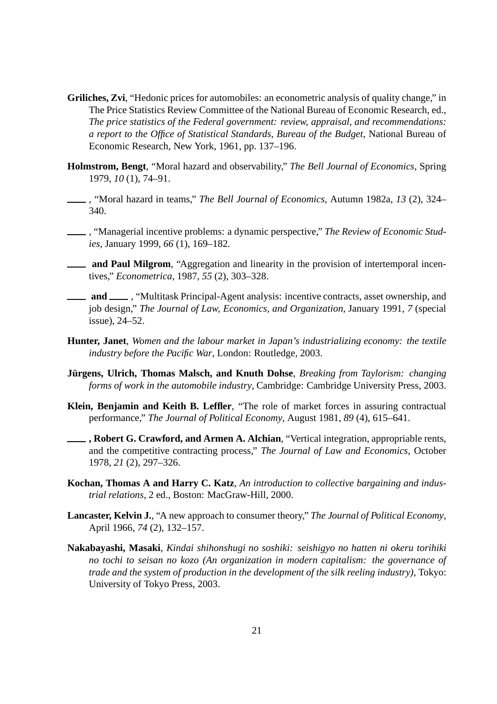- **Griliches, Zvi**, "Hedonic prices for automobiles: an econometric analysis of quality change," in The Price Statistics Review Committee of the National Bureau of Economic Research, ed., *The price statistics of the Federal government: review, appraisal, and recommendations: a report to the Office of Statistical Standards, Bureau of the Budget*, National Bureau of Economic Research, New York, 1961, pp. 137–196.
- **Holmstrom, Bengt**, "Moral hazard and observability," *The Bell Journal of Economics*, Spring 1979, *10* (1), 74–91.
- , "Moral hazard in teams," *The Bell Journal of Economics*, Autumn 1982a, *13* (2), 324– 340.
- , "Managerial incentive problems: a dynamic perspective," *The Review of Economic Studies*, January 1999, *66* (1), 169–182.
- **and Paul Milgrom**, "Aggregation and linearity in the provision of intertemporal incentives," *Econometrica*, 1987, *55* (2), 303–328.
- **and**  $\_\_\_\$ , "Multitask Principal-Agent analysis: incentive contracts, asset ownership, and job design," *The Journal of Law, Economics, and Organization*, January 1991, *7* (special issue), 24–52.
- **Hunter, Janet**, *Women and the labour market in Japan's industrializing economy: the textile industry before the Pacific War*, London: Routledge, 2003.
- **Jürgens, Ulrich, Thomas Malsch, and Knuth Dohse**, *Breaking from Taylorism: changing forms of work in the automobile industry*, Cambridge: Cambridge University Press, 2003.
- **Klein, Benjamin and Keith B. Leffler**, "The role of market forces in assuring contractual performance," *The Journal of Political Economy*, August 1981, *89* (4), 615–641.
- **, Robert G. Crawford, and Armen A. Alchian**, "Vertical integration, appropriable rents, and the competitive contracting process," *The Journal of Law and Economics*, October 1978, *21* (2), 297–326.
- **Kochan, Thomas A and Harry C. Katz**, *An introduction to collective bargaining and industrial relations*, 2 ed., Boston: MacGraw-Hill, 2000.
- **Lancaster, Kelvin J.**, "A new approach to consumer theory," *The Journal of Political Economy*, April 1966, *74* (2), 132–157.
- **Nakabayashi, Masaki**, *Kindai shihonshugi no soshiki: seishigyo no hatten ni okeru torihiki no tochi to seisan no kozo (An organization in modern capitalism: the governance of trade and the system of production in the development of the silk reeling industry)*, Tokyo: University of Tokyo Press, 2003.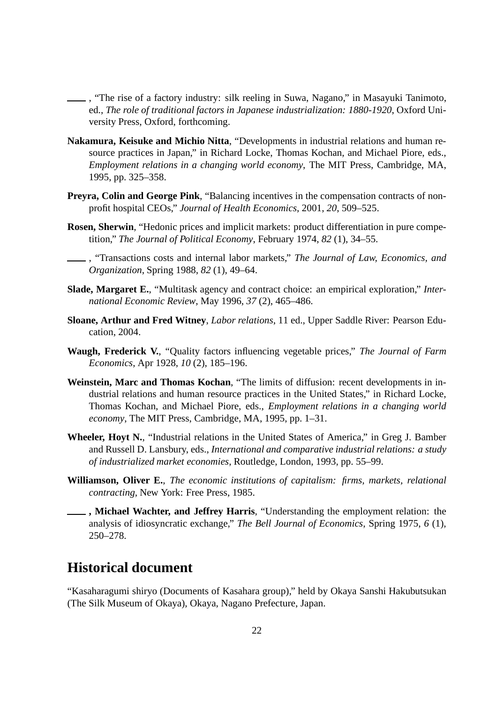, "The rise of a factory industry: silk reeling in Suwa, Nagano," in Masayuki Tanimoto, ed., *The role of traditional factors in Japanese industrialization: 1880-1920*, Oxford University Press, Oxford, forthcoming.

- **Nakamura, Keisuke and Michio Nitta**, "Developments in industrial relations and human resource practices in Japan," in Richard Locke, Thomas Kochan, and Michael Piore, eds., *Employment relations in a changing world economy*, The MIT Press, Cambridge, MA, 1995, pp. 325–358.
- **Preyra, Colin and George Pink**, "Balancing incentives in the compensation contracts of nonprofit hospital CEOs," *Journal of Health Economics*, 2001, *20*, 509–525.
- **Rosen, Sherwin**, "Hedonic prices and implicit markets: product differentiation in pure competition," *The Journal of Political Economy*, February 1974, *82* (1), 34–55.

, "Transactions costs and internal labor markets," *The Journal of Law, Economics, and Organization*, Spring 1988, *82* (1), 49–64.

- **Slade, Margaret E.**, "Multitask agency and contract choice: an empirical exploration," *International Economic Review*, May 1996, *37* (2), 465–486.
- **Sloane, Arthur and Fred Witney**, *Labor relations*, 11 ed., Upper Saddle River: Pearson Education, 2004.
- **Waugh, Frederick V.**, "Quality factors influencing vegetable prices," *The Journal of Farm Economics*, Apr 1928, *10* (2), 185–196.
- **Weinstein, Marc and Thomas Kochan**, "The limits of diffusion: recent developments in industrial relations and human resource practices in the United States," in Richard Locke, Thomas Kochan, and Michael Piore, eds., *Employment relations in a changing world economy*, The MIT Press, Cambridge, MA, 1995, pp. 1–31.
- **Wheeler, Hoyt N.**, "Industrial relations in the United States of America," in Greg J. Bamber and Russell D. Lansbury, eds., *International and comparative industrial relations: a study of industrialized market economies*, Routledge, London, 1993, pp. 55–99.
- **Williamson, Oliver E.**, *The economic institutions of capitalism: firms, markets, relational contracting*, New York: Free Press, 1985.
- **, Michael Wachter, and Jeffrey Harris**, "Understanding the employment relation: the analysis of idiosyncratic exchange," *The Bell Journal of Economics*, Spring 1975, *6* (1), 250–278.

## **Historical document**

"Kasaharagumi shiryo (Documents of Kasahara group)," held by Okaya Sanshi Hakubutsukan (The Silk Museum of Okaya), Okaya, Nagano Prefecture, Japan.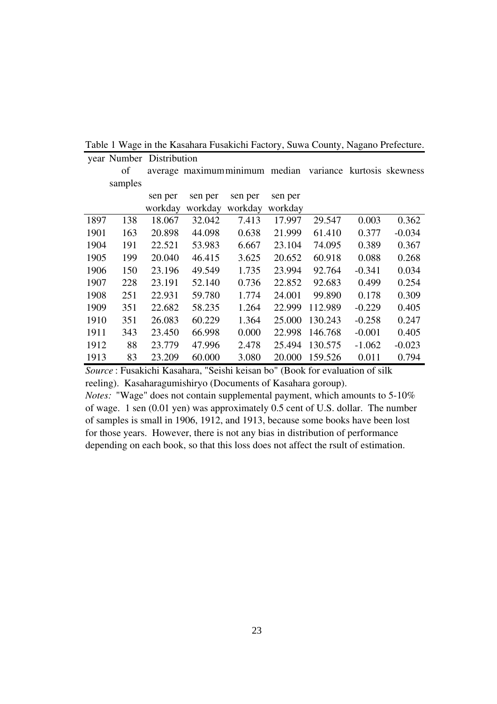Table 1 Wage in the Kasahara Fusakichi Factory, Suwa County, Nagano Prefecture.

year Number Distribution

|      | of      |         | average maximum minimum median |         |         | variance |          | kurtosis skewness |
|------|---------|---------|--------------------------------|---------|---------|----------|----------|-------------------|
|      | samples |         |                                |         |         |          |          |                   |
|      |         | sen per | sen per                        | sen per | sen per |          |          |                   |
|      |         | workday | workday                        | workday | workday |          |          |                   |
| 1897 | 138     | 18.067  | 32.042                         | 7.413   | 17.997  | 29.547   | 0.003    | 0.362             |
| 1901 | 163     | 20.898  | 44.098                         | 0.638   | 21.999  | 61.410   | 0.377    | $-0.034$          |
| 1904 | 191     | 22.521  | 53.983                         | 6.667   | 23.104  | 74.095   | 0.389    | 0.367             |
| 1905 | 199     | 20.040  | 46.415                         | 3.625   | 20.652  | 60.918   | 0.088    | 0.268             |
| 1906 | 150     | 23.196  | 49.549                         | 1.735   | 23.994  | 92.764   | $-0.341$ | 0.034             |
| 1907 | 228     | 23.191  | 52.140                         | 0.736   | 22.852  | 92.683   | 0.499    | 0.254             |
| 1908 | 251     | 22.931  | 59.780                         | 1.774   | 24.001  | 99.890   | 0.178    | 0.309             |
| 1909 | 351     | 22.682  | 58.235                         | 1.264   | 22.999  | 112.989  | $-0.229$ | 0.405             |
| 1910 | 351     | 26.083  | 60.229                         | 1.364   | 25.000  | 130.243  | $-0.258$ | 0.247             |
| 1911 | 343     | 23.450  | 66.998                         | 0.000   | 22.998  | 146.768  | $-0.001$ | 0.405             |
| 1912 | 88      | 23.779  | 47.996                         | 2.478   | 25.494  | 130.575  | $-1.062$ | $-0.023$          |
| 1913 | 83      | 23.209  | 60.000                         | 3.080   | 20.000  | 159.526  | 0.011    | 0.794             |

*Source* : Fusakichi Kasahara, "Seishi keisan bo" (Book for evaluation of silk reeling). Kasaharagumishiryo (Documents of Kasahara goroup).

*Notes:* "Wage" does not contain supplemental payment, which amounts to 5-10% of wage. 1 sen (0.01 yen) was approximately 0.5 cent of U.S. dollar. The number of samples is small in 1906, 1912, and 1913, because some books have been lost for those years. However, there is not any bias in distribution of performance depending on each book, so that this loss does not affect the rsult of estimation.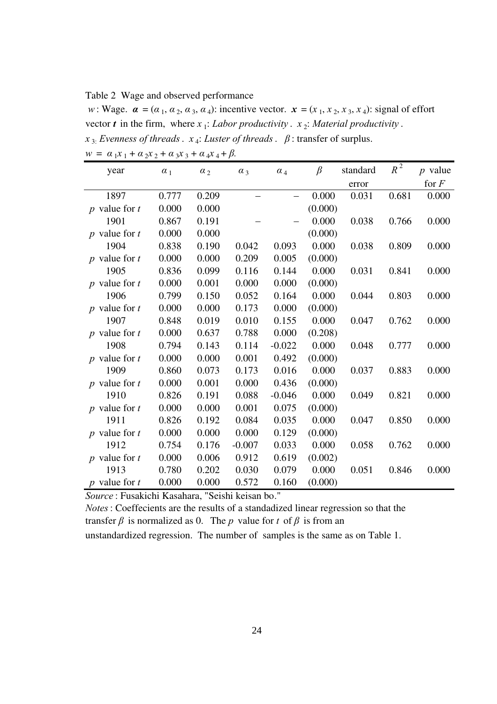Table 2 Wage and observed performance

*w*: Wage.  $\alpha = (\alpha_1, \alpha_2, \alpha_3, \alpha_4)$ : incentive vector.  $\mathbf{x} = (x_1, x_2, x_3, x_4)$ : signal of effort vector *t* in the firm, where  $x_1$ : *Labor productivity* .  $x_2$ : *Material productivity* .  $x_{3}$ : *Evenness of threads*.  $x_{4}$ : *Luster of threads*.  $\beta$ : transfer of surplus.

| year              | $\alpha_1$ | $\alpha_2$ | $\alpha_3$ | $\alpha_4$ | $\beta$ | standard | $R^2$ | $p$ value |
|-------------------|------------|------------|------------|------------|---------|----------|-------|-----------|
|                   |            |            |            |            |         | error    |       | for $F$   |
| 1897              | 0.777      | 0.209      |            |            | 0.000   | 0.031    | 0.681 | 0.000     |
| p value for $t$   | 0.000      | 0.000      |            |            | (0.000) |          |       |           |
| 1901              | 0.867      | 0.191      |            |            | 0.000   | 0.038    | 0.766 | 0.000     |
| $p$ value for $t$ | 0.000      | 0.000      |            |            | (0.000) |          |       |           |
| 1904              | 0.838      | 0.190      | 0.042      | 0.093      | 0.000   | 0.038    | 0.809 | 0.000     |
| $p$ value for $t$ | 0.000      | 0.000      | 0.209      | 0.005      | (0.000) |          |       |           |
| 1905              | 0.836      | 0.099      | 0.116      | 0.144      | 0.000   | 0.031    | 0.841 | 0.000     |
| $p$ value for $t$ | 0.000      | 0.001      | 0.000      | 0.000      | (0.000) |          |       |           |
| 1906              | 0.799      | 0.150      | 0.052      | 0.164      | 0.000   | 0.044    | 0.803 | 0.000     |
| p value for $t$   | 0.000      | 0.000      | 0.173      | 0.000      | (0.000) |          |       |           |
| 1907              | 0.848      | 0.019      | 0.010      | 0.155      | 0.000   | 0.047    | 0.762 | 0.000     |
| $p$ value for $t$ | 0.000      | 0.637      | 0.788      | 0.000      | (0.208) |          |       |           |
| 1908              | 0.794      | 0.143      | 0.114      | $-0.022$   | 0.000   | 0.048    | 0.777 | 0.000     |
| $p$ value for $t$ | 0.000      | 0.000      | 0.001      | 0.492      | (0.000) |          |       |           |
| 1909              | 0.860      | 0.073      | 0.173      | 0.016      | 0.000   | 0.037    | 0.883 | 0.000     |
| p value for $t$   | 0.000      | 0.001      | 0.000      | 0.436      | (0.000) |          |       |           |
| 1910              | 0.826      | 0.191      | 0.088      | $-0.046$   | 0.000   | 0.049    | 0.821 | 0.000     |
| p value for $t$   | 0.000      | 0.000      | 0.001      | 0.075      | (0.000) |          |       |           |
| 1911              | 0.826      | 0.192      | 0.084      | 0.035      | 0.000   | 0.047    | 0.850 | 0.000     |
| $p$ value for $t$ | 0.000      | 0.000      | 0.000      | 0.129      | (0.000) |          |       |           |
| 1912              | 0.754      | 0.176      | $-0.007$   | 0.033      | 0.000   | 0.058    | 0.762 | 0.000     |
| $p$ value for $t$ | 0.000      | 0.006      | 0.912      | 0.619      | (0.002) |          |       |           |
| 1913              | 0.780      | 0.202      | 0.030      | 0.079      | 0.000   | 0.051    | 0.846 | 0.000     |
| $p$ value for $t$ | 0.000      | 0.000      | 0.572      | 0.160      | (0.000) |          |       |           |

 $w = \alpha_1 x_1 + \alpha_2 x_2 + \alpha_3 x_3 + \alpha_4 x_4 + \beta.$ 

*Source* : Fusakichi Kasahara, "Seishi keisan bo."

*Notes*: Coeffecients are the results of a standadized linear regression so that the transfer  $\beta$  is normalized as 0. The p value for t of  $\beta$  is from an

unstandardized regression. The number of samples is the same as on Table 1.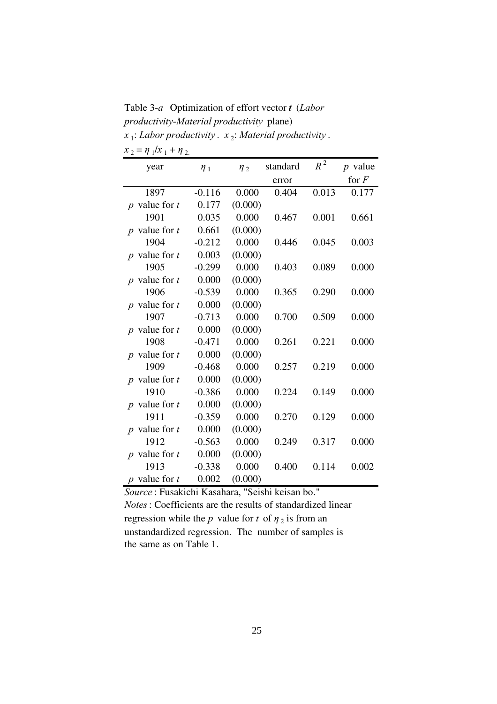Table 3-*a* Optimization of effort vector *t* (*Labor productivity-Material productivity* plane) *x*<sub>1</sub>: *Labor productivity* . *x*<sub>2</sub>: *Material productivity* .

| year              | $\eta_1$ | $\eta_2$ | standard | $R^2$ | $p$ value |
|-------------------|----------|----------|----------|-------|-----------|
|                   |          |          | error    |       | for $F$   |
| 1897              | $-0.116$ | 0.000    | 0.404    | 0.013 | 0.177     |
| $p$ value for $t$ | 0.177    | (0.000)  |          |       |           |
| 1901              | 0.035    | 0.000    | 0.467    | 0.001 | 0.661     |
| $p$ value for $t$ | 0.661    | (0.000)  |          |       |           |
| 1904              | $-0.212$ | 0.000    | 0.446    | 0.045 | 0.003     |
| $p$ value for $t$ | 0.003    | (0.000)  |          |       |           |
| 1905              | $-0.299$ | 0.000    | 0.403    | 0.089 | 0.000     |
| $p$ value for $t$ | 0.000    | (0.000)  |          |       |           |
| 1906              | $-0.539$ | 0.000    | 0.365    | 0.290 | 0.000     |
| $p$ value for $t$ | 0.000    | (0.000)  |          |       |           |
| 1907              | $-0.713$ | 0.000    | 0.700    | 0.509 | 0.000     |
| $p$ value for $t$ | 0.000    | (0.000)  |          |       |           |
| 1908              | $-0.471$ | 0.000    | 0.261    | 0.221 | 0.000     |
| $p$ value for $t$ | 0.000    | (0.000)  |          |       |           |
| 1909              | $-0.468$ | 0.000    | 0.257    | 0.219 | 0.000     |
| $p$ value for $t$ | 0.000    | (0.000)  |          |       |           |
| 1910              | $-0.386$ | 0.000    | 0.224    | 0.149 | 0.000     |
| $p$ value for $t$ | 0.000    | (0.000)  |          |       |           |
| 1911              | $-0.359$ | 0.000    | 0.270    | 0.129 | 0.000     |
| $p$ value for $t$ | 0.000    | (0.000)  |          |       |           |
| 1912              | $-0.563$ | 0.000    | 0.249    | 0.317 | 0.000     |
| $p$ value for $t$ | 0.000    | (0.000)  |          |       |           |
| 1913              | $-0.338$ | 0.000    | 0.400    | 0.114 | 0.002     |
| $p$ value for $t$ | 0.002    | (0.000)  |          |       |           |

 $x_2 = \eta_1/x_1 + \eta_2$ .

*Source* : Fusakichi Kasahara, "Seishi keisan bo." *Notes*: Coefficients are the results of standardized linear regression while the *p* value for *t* of  $\eta_2$  is from an unstandardized regression. The number of samples is the same as on Table 1.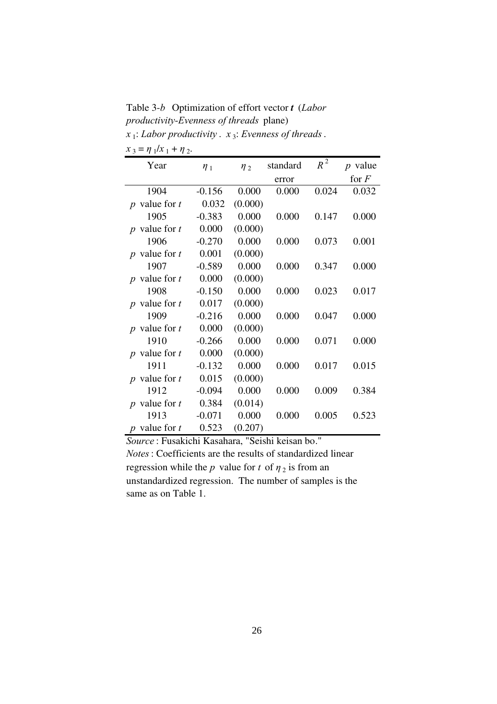Table 3-*b* Optimization of effort vector *t* (*Labor productivity-Evenness of threads* plane) *x* 1 : *Labor productivity* . *x* <sup>3</sup> : *Evenness of threads*.

| $x_3 = \eta_1/x_1 + \eta_2$ .                             |          |          |          |       |           |
|-----------------------------------------------------------|----------|----------|----------|-------|-----------|
| Year                                                      | $\eta_1$ | $\eta_2$ | standard | $R^2$ | $p$ value |
|                                                           |          |          | error    |       | for $F$   |
| 1904                                                      | $-0.156$ | 0.000    | 0.000    | 0.024 | 0.032     |
| $p$ value for $t$                                         | 0.032    | (0.000)  |          |       |           |
| 1905                                                      | $-0.383$ | 0.000    | 0.000    | 0.147 | 0.000     |
| $p$ value for $t$                                         | 0.000    | (0.000)  |          |       |           |
| 1906                                                      | $-0.270$ | 0.000    | 0.000    | 0.073 | 0.001     |
| $p$ value for $t$                                         | 0.001    | (0.000)  |          |       |           |
| 1907                                                      | $-0.589$ | 0.000    | 0.000    | 0.347 | 0.000     |
| $p$ value for $t$                                         | 0.000    | (0.000)  |          |       |           |
| 1908                                                      | $-0.150$ | 0.000    | 0.000    | 0.023 | 0.017     |
| $p$ value for $t$                                         | 0.017    | (0.000)  |          |       |           |
| 1909                                                      | $-0.216$ | 0.000    | 0.000    | 0.047 | 0.000     |
| $p$ value for $t$                                         | 0.000    | (0.000)  |          |       |           |
| 1910                                                      | $-0.266$ | 0.000    | 0.000    | 0.071 | 0.000     |
| $p$ value for $t$                                         | 0.000    | (0.000)  |          |       |           |
| 1911                                                      | $-0.132$ | 0.000    | 0.000    | 0.017 | 0.015     |
| $p$ value for $t$                                         | 0.015    | (0.000)  |          |       |           |
| 1912                                                      | $-0.094$ | 0.000    | 0.000    | 0.009 | 0.384     |
| $p$ value for $t$                                         | 0.384    | (0.014)  |          |       |           |
| 1913                                                      | $-0.071$ | 0.000    | 0.000    | 0.005 | 0.523     |
| $p$ value for $t$<br>$\overline{E}$ 1'1' $\overline{V}$ 1 | 0.523    | (0.207)  |          |       |           |

*Source* : Fusakichi Kasahara, "Seishi keisan bo." *Notes*: Coefficients are the results of standardized linear regression while the *p* value for *t* of  $\eta_2$  is from an unstandardized regression. The number of samples is the same as on Table 1.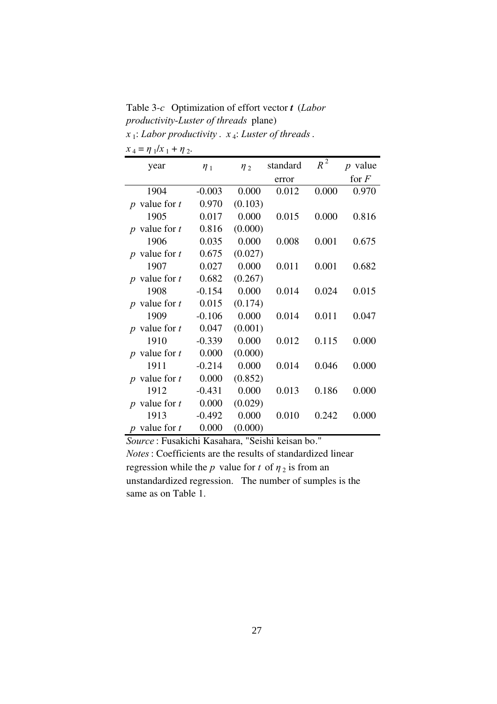Table 3-*c* Optimization of effort vector *t* (*Labor productivity-Luster of threads* plane) *x* 1 : *Labor productivity* . *x* <sup>4</sup> : *Luster of threads*.

| $x_4 = \eta_1/x_1 + \eta_2.$ |  |  |
|------------------------------|--|--|
|------------------------------|--|--|

| year              | $\eta_1$ | $\eta$ <sub>2</sub> | standard | $R^2$ | $p$ value |
|-------------------|----------|---------------------|----------|-------|-----------|
|                   |          |                     | error    |       | for $F$   |
| 1904              | $-0.003$ | 0.000               | 0.012    | 0.000 | 0.970     |
| $p$ value for $t$ | 0.970    | (0.103)             |          |       |           |
| 1905              | 0.017    | 0.000               | 0.015    | 0.000 | 0.816     |
| $p$ value for $t$ | 0.816    | (0.000)             |          |       |           |
| 1906              | 0.035    | 0.000               | 0.008    | 0.001 | 0.675     |
| $p$ value for $t$ | 0.675    | (0.027)             |          |       |           |
| 1907              | 0.027    | 0.000               | 0.011    | 0.001 | 0.682     |
| $p$ value for $t$ | 0.682    | (0.267)             |          |       |           |
| 1908              | $-0.154$ | 0.000               | 0.014    | 0.024 | 0.015     |
| $p$ value for $t$ | 0.015    | (0.174)             |          |       |           |
| 1909              | $-0.106$ | 0.000               | 0.014    | 0.011 | 0.047     |
| $p$ value for $t$ | 0.047    | (0.001)             |          |       |           |
| 1910              | $-0.339$ | 0.000               | 0.012    | 0.115 | 0.000     |
| $p$ value for $t$ | 0.000    | (0.000)             |          |       |           |
| 1911              | $-0.214$ | 0.000               | 0.014    | 0.046 | 0.000     |
| $p$ value for $t$ | 0.000    | (0.852)             |          |       |           |
| 1912              | $-0.431$ | 0.000               | 0.013    | 0.186 | 0.000     |
| p value for $t$   | 0.000    | (0.029)             |          |       |           |
| 1913              | $-0.492$ | 0.000               | 0.010    | 0.242 | 0.000     |
| $p$ value for $t$ | 0.000    | (0.000)             |          |       |           |

*Source* : Fusakichi Kasahara, "Seishi keisan bo." *Notes*: Coefficients are the results of standardized linear regression while the *p* value for *t* of  $\eta_2$  is from an unstandardized regression. The number of sumples is the same as on Table 1.